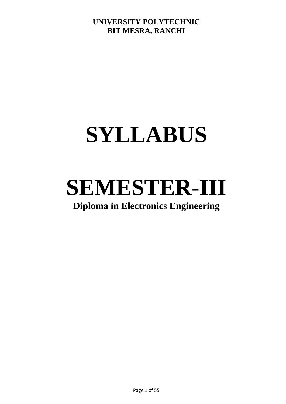## **SYLLABUS**

# **SEMESTER-III**

## **Diploma in Electronics Engineering**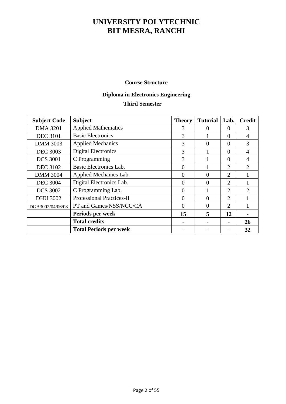#### **Course Structure**

#### **Diploma in Electronics Engineering Third Semester**

| <b>Subject Code</b> | <b>Subject</b>                   | <b>Theory</b> | <b>Tutorial</b> | Lab.     | <b>Credit</b>               |
|---------------------|----------------------------------|---------------|-----------------|----------|-----------------------------|
| <b>DMA 3201</b>     | <b>Applied Mathematics</b>       | 3             | 0               | $\Omega$ | 3                           |
| <b>DEC 3101</b>     | <b>Basic Electronics</b>         | 3             |                 | $\Omega$ | 4                           |
| <b>DMM 3003</b>     | <b>Applied Mechanics</b>         | 3             | $\theta$        | $\Omega$ | 3                           |
| <b>DEC 3003</b>     | <b>Digital Electronics</b>       | 3             |                 | $\Omega$ | 4                           |
| <b>DCS 3001</b>     | C Programming                    | 3             |                 | $\Omega$ | 4                           |
| <b>DEC 3102</b>     | Basic Electronics Lab.           | $\theta$      |                 | 2        | $\mathcal{D}_{\mathcal{L}}$ |
| <b>DMM 3004</b>     | Applied Mechanics Lab.           | $\theta$      | $\Omega$        | 2        |                             |
| <b>DEC 3004</b>     | Digital Electronics Lab.         | $\Omega$      | $\Omega$        | 2        |                             |
| <b>DCS 3002</b>     | C Programming Lab.               | $\theta$      |                 | 2        | $\mathcal{D}_{\mathcal{L}}$ |
| <b>DHU 3002</b>     | <b>Professional Practices-II</b> | $\Omega$      | $\Omega$        | 2        |                             |
| DGA3002/04/06/08    | PT and Games/NSS/NCC/CA          | $\theta$      | $\theta$        | 2        |                             |
|                     | Periods per week                 | 15            | 5               | 12       |                             |
|                     | <b>Total credits</b>             |               |                 |          | 26                          |
|                     | <b>Total Periods per week</b>    |               |                 |          | 32                          |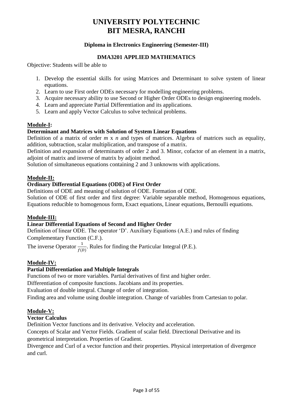#### **Diploma in Electronics Engineering (Semester-III)**

#### **DMA3201 APPLIED MATHEMATICS**

Objective: Students will be able to

- 1. Develop the essential skills for using Matrices and Determinant to solve system of linear equations.
- 2. Learn to use First order ODEs necessary for modelling engineering problems.
- 3. Acquire necessary ability to use Second or Higher Order ODEs to design engineering models.
- 4. Learn and appreciate Partial Differentiation and its applications.
- 5. Learn and apply Vector Calculus to solve technical problems.

#### **Module-I:**

#### **Determinant and Matrices with Solution of System Linear Equations**

Definition of a matrix of order *m* x *n* and types of matrices. Algebra of matrices such as equality, addition, subtraction, scalar multiplication, and transpose of a matrix.

Definition and expansion of determinants of order 2 and 3. Minor, cofactor of an element in a matrix, adjoint of matrix and inverse of matrix by adjoint method.

Solution of simultaneous equations containing 2 and 3 unknowns with applications.

#### **Module-II:**

#### **Ordinary Differential Equations (ODE) of First Order**

Definitions of ODE and meaning of solution of ODE. Formation of ODE.

Solution of ODE of first order and first degree: Variable separable method, Homogenous equations, Equations reducible to homogenous form, Exact equations, Linear equations, Bernoulli equations.

#### **Module-III:**

#### **Linear Differential Equations of Second and Higher Order**

Definition of linear ODE. The operator 'D'. Auxiliary Equations (A.E.) and rules of finding Complementary Function (C.F.).

The inverse Operator  $\frac{1}{f(D)}$ . Rules for finding the Particular Integral (P.E.).

#### **Module-IV:**

#### **Partial Differentiation and Multiple Integrals**

Functions of two or more variables. Partial derivatives of first and higher order.

Differentiation of composite functions. Jacobians and its properties.

Evaluation of double integral. Change of order of integration.

Finding area and volume using double integration. Change of variables from Cartesian to polar.

#### **Module-V:**

#### **Vector Calculus**

Definition Vector functions and its derivative. Velocity and acceleration.

Concepts of Scalar and Vector Fields. Gradient of scalar field. Directional Derivative and its geometrical interpretation. Properties of Gradient.

Divergence and Curl of a vector function and their properties. Physical interpretation of divergence and curl.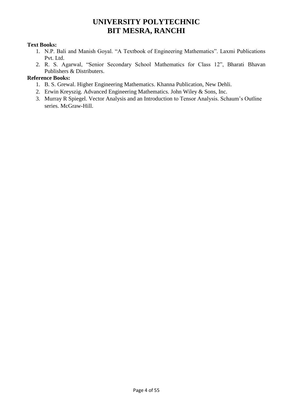#### **Text Books:**

- 1. N.P. Bali and Manish Goyal. "A Textbook of Engineering Mathematics". Laxmi Publications Pvt. Ltd.
- 2. R. S. Agarwal, "Senior Secondary School Mathematics for Class 12", Bharati Bhavan Publishers & Distributers.

#### **Reference Books:**

- 1. B. S. Grewal. Higher Engineering Mathematics. Khanna Publication, New Dehli.
- 2. Erwin Kreyszig. Advanced Engineering Mathematics. John Wiley & Sons, Inc.
- 3. Murray R Spiegel. Vector Analysis and an Introduction to Tensor Analysis. Schaum's Outline series. McGraw-Hill.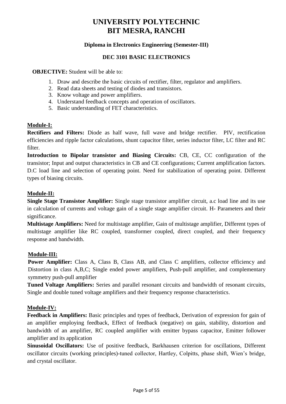#### **Diploma in Electronics Engineering (Semester-III)**

#### **DEC 3101 BASIC ELECTRONICS**

**OBJECTIVE:** Student will be able to:

- 1. Draw and describe the basic circuits of rectifier, filter, regulator and amplifiers.
- 2. Read data sheets and testing of diodes and transistors.
- 3. Know voltage and power amplifiers.
- 4. Understand feedback concepts and operation of oscillators.
- 5. Basic understanding of FET characteristics.

#### **Module-I:**

**Rectifiers and Filters:** Diode as half wave, full wave and bridge rectifier. PIV, rectification efficiencies and ripple factor calculations, shunt capacitor filter, series inductor filter, LC filter and RC filter.

Introduction to Bipolar transistor and Biasing Circuits: CB, CE, CC configuration of the transistor; Input and output characteristics in CB and CE configurations; Current amplification factors. D.C load line and selection of operating point. Need for stabilization of operating point. Different types of biasing circuits.

#### **Module-II:**

**Single Stage Transistor Amplifier:** Single stage transistor amplifier circuit, a.c load line and its use in calculation of currents and voltage gain of a single stage amplifier circuit. H- Parameters and their significance.

**Multistage Amplifiers:** Need for multistage amplifier, Gain of multistage amplifier, Different types of multistage amplifier like RC coupled, transformer coupled, direct coupled, and their frequency response and bandwidth.

#### **Module-III:**

**Power Amplifier:** Class A, Class B, Class AB, and Class C amplifiers, collector efficiency and Distortion in class A,B,C; Single ended power amplifiers, Push-pull amplifier, and complementary symmetry push-pull amplifier

**Tuned Voltage Amplifiers:** Series and parallel resonant circuits and bandwidth of resonant circuits, Single and double tuned voltage amplifiers and their frequency response characteristics.

#### **Module-IV:**

**Feedback in Amplifiers:** Basic principles and types of feedback, Derivation of expression for gain of an amplifier employing feedback, Effect of feedback (negative) on gain, stability, distortion and bandwidth of an amplifier, RC coupled amplifier with emitter bypass capacitor, Emitter follower amplifier and its application

**Sinusoidal Oscillators:** Use of positive feedback, Barkhausen criterion for oscillations, Different oscillator circuits (working principles)-tuned collector, Hartley, Colpitts, phase shift, Wien's bridge, and crystal oscillator.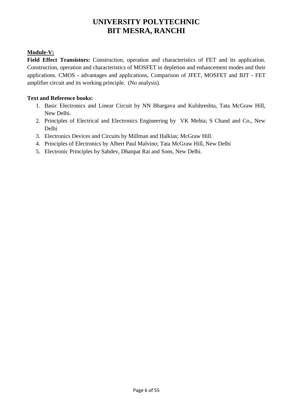#### **Module-V:**

Field Effect Transistors: Construction, operation and characteristics of FET and its application. Construction, operation and characteristics of MOSFET in depletion and enhancement modes and their applications. CMOS - advantages and applications, Comparison of JFET, MOSFET and BJT - FET amplifier circuit and its working principle. (No analysis).

- 1. Basic Electronics and Linear Circuit by NN Bhargava and Kulshreshta, Tata McGraw Hill, New Delhi.
- 2. Principles of Electrical and Electronics Engineering by VK Mehta; S Chand and Co., New Delhi
- 3. Electronics Devices and Circuits by Millman and Halkias; McGraw Hill.
- 4. Principles of Electronics by Albert Paul Malvino; Tata McGraw Hill, New Delhi
- 5. Electronic Principles by Sahdev, Dhanpat Rai and Sons, New Delhi.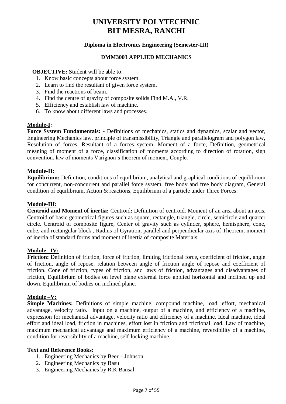#### **Diploma in Electronics Engineering (Semester-III)**

#### **DMM3003 APPLIED MECHANICS**

**OBJECTIVE:** Student will be able to:

- 1. Know basic concepts about force system.
- 2. Learn to find the resultant of given force system.
- 3. Find the reactions of beam.
- 4. Find the centre of gravity of composite solids Find M.A., V.R.
- 5. Efficiency and establish law of machine.
- 6. To know about different laws and processes.

#### **Module-I:**

**Force System Fundamentals: -** Definitions of mechanics, statics and dynamics, scalar and vector, Engineering Mechanics law, principle of transmissibility, Triangle and parallelogram and polygon law, Resolution of forces, Resultant of a forces system, Moment of a force, Definition, geometrical meaning of moment of a force, classification of moments according to direction of rotation, sign convention, law of moments Varignon's theorem of moment, Couple.

#### **Module-II:**

**Equilibrium:** Definition, conditions of equilibrium, analytical and graphical conditions of equilibrium for concurrent, non-concurrent and parallel force system, free body and free body diagram, General condition of equilibrium, Action & reactions, Equilibrium of a particle under Three Forces.

#### **Module-III:**

**Centroid and Moment of inertia:** Centroid**:** Definition of centroid. Moment of an area about an axis, Centroid of basic geometrical figures such as square, rectangle, triangle, circle, semicircle and quarter circle. Centroid of composite figure, Center of gravity such as cylinder, sphere, hemisphere, cone, cube, and rectangular block , Radius of Gyration, parallel and perpendicular axis of Theorem, moment of inertia of standard forms and moment of inertia of composite Materials.

#### **Module –IV:**

**Friction:** Definition of friction, force of friction, limiting frictional force, coefficient of friction, angle of friction, angle of repose, relation between angle of friction angle of repose and coefficient of friction. Cone of friction, types of friction, and laws of friction, advantages and disadvantages of friction, Equilibrium of bodies on level plane external force applied horizontal and inclined up and down. Equilibrium of bodies on inclined plane.

#### **Module –V:**

**Simple Machines:** Definitions of simple machine, compound machine, load, effort, mechanical advantage, velocity ratio. Input on a machine, output of a machine, and efficiency of a machine, expression for mechanical advantage, velocity ratio and efficiency of a machine. Ideal machine, ideal effort and ideal load, friction in machines, effort lost in friction and frictional load. Law of machine, maximum mechanical advantage and maximum efficiency of a machine, reversibility of a machine, condition for reversibility of a machine, self-locking machine.

- 1. Engineering Mechanics by Beer Johnson
- 2. Engineering Mechanics by Basu
- 3. Engineering Mechanics by R.K Bansal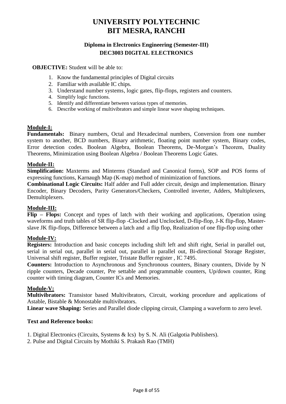#### **Diploma in Electronics Engineering (Semester-III) DEC3003 DIGITAL ELECTRONICS**

**OBJECTIVE:** Student will be able to:

- 1. Know the fundamental principles of Digital circuits
- 2. Familiar with available IC chips.
- 3. Understand number systems, logic gates, flip-flops, registers and counters.
- 4. Simplify logic functions.
- 5. Identify and differentiate between various types of memories.
- 6. Describe working of multivibrators and simple linear wave shaping techniques.

#### **Module-I:**

**Fundamentals:** Binary numbers, Octal and Hexadecimal numbers, Conversion from one number system to another, BCD numbers, Binary arithmetic, floating point number system, Binary codes, Error detection codes. Boolean Algebra, Boolean Theorems, De-Morgan's Theorem, Duality Theorems, Minimization using Boolean Algebra / Boolean Theorems Logic Gates.

#### **Module-II:**

**Simplification:** Maxterms and Minterms (Standard and Canonical forms), SOP and POS forms of expressing functions, Karnaugh Map (K-map) method of minimization of functions.

**Combinational Logic Circuits:** Half adder and Full adder circuit, design and implementation. Binary Encoder, Binary Decoders, Parity Generators/Checkers, Controlled inverter, Adders, Multiplexers, Demultiplexers.

#### **Module-III:**

**Flip – Flops:** Concept and types of latch with their working and applications, Operation using waveforms and truth tables of SR flip-flop -Clocked and Unclocked, D-flip-flop, J-K flip-flop, Masterslave JK flip-flops, Difference between a latch and a flip flop, Realization of one flip-flop using other

#### **Module-IV:**

**Registers:** Introduction and basic concepts including shift left and shift right, Serial in parallel out, serial in serial out, parallel in serial out, parallel in parallel out, Bi-directional Storage Register, Universal shift register, Buffer register, Tristate Buffer register , IC 7495.

**Counters:** Introduction to Asynchronous and Synchronous counters, Binary counters, Divide by N ripple counters, Decade counter, Pre settable and programmable counters, Up/down counter, Ring counter with timing diagram, Counter ICs and Memories.

#### **Module-V:**

**Multivibrators:** Transistor based Multivibrators, Circuit, working procedure and applications of Astable, Bistable & Monostable multivibrators.

**Linear wave Shaping:** Series and Parallel diode clipping circuit, Clamping a waveform to zero level.

- 1. Digital Electronics (Circuits, Systems & Ics) by S. N. Ali (Galgotia Publishers).
- 2. Pulse and Digital Circuits by Mothiki S. Prakash Rao (TMH)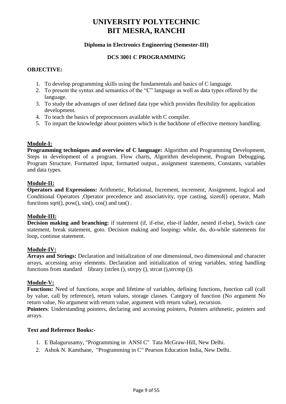#### **Diploma in Electronics Engineering (Semester-III)**

#### **DCS 3001 C PROGRAMMING**

#### **OBJECTIVE:**

- 1. To develop programming skills using the fundamentals and basics of C language.
- 2. To present the syntax and semantics of the "C" language as well as data types offered by the language.
- 3. To study the advantages of user defined data type which provides flexibility for application development.
- 4. To teach the basics of preprocessors available with C compiler.
- 5. To impart the knowledge about pointers which is the backbone of effective memory handling.

#### **Module-I:**

**Programming techniques and overview of C language:** Algorithm and Programming Development, Steps in development of a program. Flow charts, Algorithm development, Program Debugging, Program Structure. Formatted input, formatted output., assignment statements, Constants, variables and data types.

#### **Module-II:**

**Operators and Expressions:** Arithmetic, Relational, Increment, increment, Assignment, logical and Conditional Operators ,Operator precedence and associativity, type casting, sizeof() operator, Math functions sqrt $($ ), pow $($ ), sin $($ ), cos $($ ) and tan $($ ).

#### **Module-III:**

**Decision making and branching:** if statement (if, if-else, else-if ladder, nested if-else), Switch case statement, break statement, goto. Decision making and looping**:** while, do, do-while statements for loop, continue statement.

#### **Module-IV:**

**Arrays and Strings:** Declaration and initialization of one dimensional, two dimensional and character arrays, accessing array elements. Declaration and initialization of string variables, string handling functions from standard library (strlen (), strcpy (), strcat (), strcmp ()).

#### **Module-V:**

**Functions:** Need of functions, scope and lifetime of variables, defining functions, function call (call by value, call by reference), return values, storage classes. Category of function (No argument No return value, No argument with return value, argument with return value), recursion.

**Pointers**: Understanding pointers, declaring and accessing pointers, Pointers arithmetic, pointers and arrays.

- 1. E Balagurusamy, "Programming in ANSI C" Tata McGraw-Hill, New Delhi.
- 2. Ashok N. Kamthane, "Programming in C" Pearson Education India, New Delhi.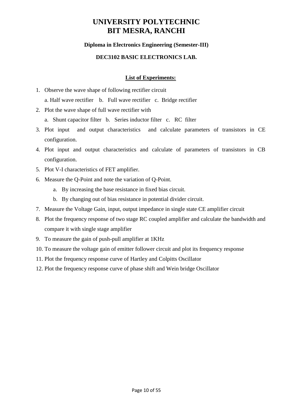#### **Diploma in Electronics Engineering (Semester-III)**

#### **DEC3102 BASIC ELECTRONICS LAB.**

#### **List of Experiments:**

- 1. Observe the wave shape of following rectifier circuit a. Half wave rectifier b. Full wave rectifier c. Bridge rectifier
- 2. Plot the wave shape of full wave rectifier with
	- a. Shunt capacitor filter b. Series inductor filter c. RC filter
- 3. Plot input and output characteristics and calculate parameters of transistors in CE configuration.
- 4. Plot input and output characteristics and calculate of parameters of transistors in CB configuration.
- 5. Plot V-I characteristics of FET amplifier.
- 6. Measure the Q-Point and note the variation of Q-Point.
	- a. By increasing the base resistance in fixed bias circuit.
	- b. By changing out of bias resistance in potential divider circuit.
- 7. Measure the Voltage Gain, input, output impedance in single state CE amplifier circuit
- 8. Plot the frequency response of two stage RC coupled amplifier and calculate the bandwidth and compare it with single stage amplifier
- 9. To measure the gain of push-pull amplifier at 1KHz
- 10. To measure the voltage gain of emitter follower circuit and plot its frequency response
- 11. Plot the frequency response curve of Hartley and Colpitts Oscillator
- 12. Plot the frequency response curve of phase shift and Wein bridge Oscillator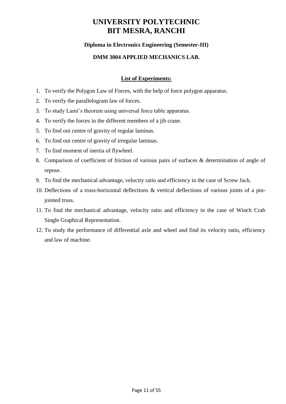#### **Diploma in Electronics Engineering (Semester-III)**

#### **DMM 3004 APPLIED MECHANICS LAB.**

#### **List of Experiments:**

- 1. To verify the Polygon Law of Forces, with the help of force polygon apparatus.
- 2. To verify the parallelogram law of forces.
- 3. To study Lami's theorem using universal force table apparatus.
- 4. To verify the forces in the different members of a jib crane.
- 5. To find out centre of gravity of regular laminas.
- 6. To find out centre of gravity of irregular laminas.
- 7. To find moment of inertia of flywheel.
- 8. Comparison of coefficient of friction of various pairs of surfaces & determination of angle of repose.
- 9. To find the mechanical advantage, velocity ratio and efficiency in the case of Screw Jack.
- 10. Deflections of a truss-horizontal deflections & vertical deflections of various joints of a pinjointed truss.
- 11. To find the mechanical advantage, velocity ratio and efficiency in the case of Winch Crab Single Graphical Representation.
- 12. To study the performance of differential axle and wheel and find its velocity ratio, efficiency and law of machine.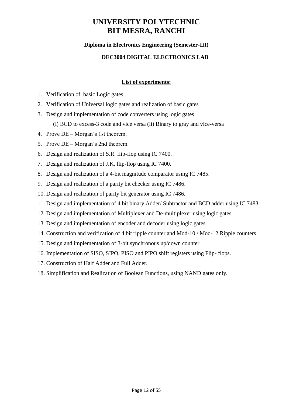#### **Diploma in Electronics Engineering (Semester-III)**

#### **DEC3004 DIGITAL ELECTRONICS LAB**

#### **List of experiments:**

- 1. Verification of basic Logic gates
- 2. Verification of Universal logic gates and realization of basic gates
- 3. Design and implementation of code converters using logic gates (i) BCD to excess-3 code and vice versa (ii) Binary to gray and vice-versa
- 4. Prove DE Morgan's 1st theorem.
- 5. Prove DE Morgan's 2nd theorem.
- 6. Design and realization of S.R. flip-flop using IC 7400.
- 7. Design and realization of J.K. flip-flop using IC 7400.
- 8. Design and realization of a 4-bit magnitude comparator using IC 7485.
- 9. Design and realization of a parity bit checker using IC 7486.
- 10. Design and realization of parity bit generator using IC 7486.
- 11. Design and implementation of 4 bit binary Adder/ Subtractor and BCD adder using IC 7483
- 12. Design and implementation of Multiplexer and De-multiplexer using logic gates
- 13. Design and implementation of encoder and decoder using logic gates
- 14. Construction and verification of 4 bit ripple counter and Mod-10 / Mod-12 Ripple counters
- 15. Design and implementation of 3-bit synchronous up/down counter
- 16. Implementation of SISO, SIPO, PISO and PIPO shift registers using Flip- flops.
- 17. Construction of Half Adder and Full Adder.
- 18. Simplification and Realization of Boolean Functions, using NAND gates only.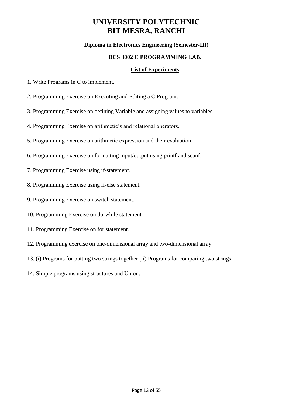#### **Diploma in Electronics Engineering (Semester-III)**

#### **DCS 3002 C PROGRAMMING LAB.**

#### **List of Experiments**

- 1. Write Programs in C to implement.
- 2. Programming Exercise on Executing and Editing a C Program.
- 3. Programming Exercise on defining Variable and assigning values to variables.
- 4. Programming Exercise on arithmetic's and relational operators.
- 5. Programming Exercise on arithmetic expression and their evaluation.
- 6. Programming Exercise on formatting input/output using printf and scanf.
- 7. Programming Exercise using if-statement.
- 8. Programming Exercise using if-else statement.
- 9. Programming Exercise on switch statement.
- 10. Programming Exercise on do-while statement.
- 11. Programming Exercise on for statement.
- 12. Programming exercise on one-dimensional array and two-dimensional array.
- 13. (i) Programs for putting two strings together (ii) Programs for comparing two strings.
- 14. Simple programs using structures and Union.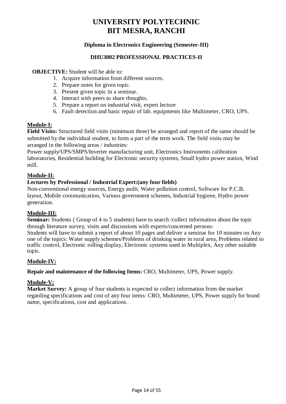#### **Diploma in Electronics Engineering (Semester-III)**

#### **DHU3002 PROFESSIONAL PRACTICES-II**

#### **OBJECTIVE:** Student will be able to:

- 1. Acquire information from different sources.
- 2. Prepare notes for given topic.
- 3. Present given topic in a seminar.
- 4. Interact with peers to share thoughts.
- 5. Prepare a report on industrial visit, expert lecture
- 6. Fault detection and basic repair of lab. equipments like Multimeter, CRO, UPS.

#### **Module-I:**

**Field Visits:** Structured field visits (minimum three) be arranged and report of the same should be submitted by the individual student, to form a part of the term work. The field visits may be arranged in the following areas / industries:

Power supply/UPS/SMPS/Inverter manufacturing unit, Electronics Instruments calibration laboratories, Residential building for Electronic security systems, Small hydro power station, Wind mill.

#### **Module-II:**

#### **Lectures by Professional / Industrial Expert:(any four fields)**

Non-conventional energy sources, Energy audit, Water pollution control, Software for P.C.B. layout, Mobile communication, Various government schemes, Industrial hygiene, Hydro power generation.

#### **Module-III:**

**Seminar:** Students (Group of 4 to 5 students) have to search /collect information about the topic through literature survey, visits and discussions with experts/concerned persons:

Students will have to submit a report of about 10 pages and deliver a seminar for 10 minutes on Any one of the topics: Water supply schemes/Problems of drinking water in rural area, Problems related to traffic control, Electronic rolling display, Electronic systems used in Multiplex, Any other suitable topic.

#### **Module-IV:**

**Repair and maintenance of the following Items:** CRO, Multimeter, UPS, Power supply.

#### **Module-V:**

**Market Survey:** A group of four students is expected to collect information from the market regarding specifications and cost of any four items: CRO, Multimeter, UPS, Power supply for brand name, specifications, cost and applications.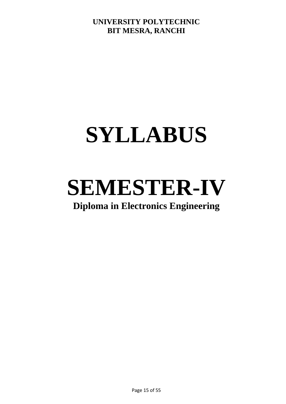## **SYLLABUS**

# **SEMESTER-IV**

## **Diploma in Electronics Engineering**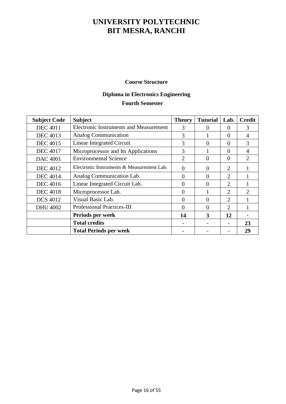#### **Course Structure**

### **Diploma in Electronics Engineering Fourth Semester**

| <b>Subject Code</b> | <b>Subject</b>                                | <b>Theory</b>  | <b>Tutorial</b> | Lab.                        | <b>Credit</b>               |
|---------------------|-----------------------------------------------|----------------|-----------------|-----------------------------|-----------------------------|
| <b>DEC 4011</b>     | <b>Electronic Instruments and Measurement</b> | 3              | 0               | $\theta$                    | 3                           |
| <b>DEC</b> 4013     | Analog Communication                          | 3              |                 | $\Omega$                    | 4                           |
| <b>DEC 4015</b>     | Linear Integrated Circuit                     | 3              | 0               | $\Omega$                    | 3                           |
| <b>DEC 4017</b>     | Microprocessor and Its Applications           | 3              |                 | $\Omega$                    | 4                           |
| <b>DAC 4001</b>     | <b>Environmental Science</b>                  | $\overline{2}$ | $\overline{0}$  | $\Omega$                    | $\overline{2}$              |
| <b>DEC</b> 4012     | Electronic Instruments & Measurement Lab.     | $\Omega$       | $\Omega$        | 2                           |                             |
| <b>DEC</b> 4014     | Analog Communication Lab.                     | $\Omega$       | $\theta$        | $\mathcal{D}_{\mathcal{L}}$ |                             |
| <b>DEC</b> 4016     | Linear Integrated Circuit Lab.                | $\theta$       | $\theta$        | 2                           |                             |
| <b>DEC 4018</b>     | Microprocessor Lab.                           | $\Omega$       |                 | 2                           | $\mathcal{D}_{\mathcal{L}}$ |
| <b>DCS 4012</b>     | Visual Basic Lab.                             | $\Omega$       | $\Omega$        | 2                           |                             |
| <b>DHU 4002</b>     | <b>Professional Practices-III</b>             | $\Omega$       | $\Omega$        | $\mathcal{D}_{\mathcal{L}}$ |                             |
|                     | Periods per week                              | 14             | 3               | 12                          |                             |
|                     | <b>Total credits</b>                          |                |                 |                             | 23                          |
|                     | <b>Total Periods per week</b>                 |                |                 |                             | 29                          |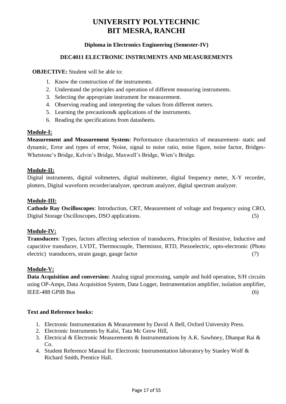#### **Diploma in Electronics Engineering (Semester-IV)**

#### **DEC4011 ELECTRONIC INSTRUMENTS AND MEASUREMENTS**

**OBJECTIVE:** Student will be able to:

- 1. Know the construction of the instruments.
- 2. Understand the principles and operation of different measuring instruments.
- 3. Selecting the appropriate instrument for measurement.
- 4. Observing reading and interpreting the values from different meters.
- 5. Learning the precautions& applications of the instruments.
- 6. Reading the specifications from datasheets.

#### **Module-I:**

**Measurement and Measurement System:** Performance characteristics of measurement- static and dynamic, Error and types of error, Noise, signal to noise ratio, noise figure, noise factor, Bridges-Whetstone's Bridge, Kelvin's Bridge, Maxwell's Bridge, Wien's Bridge.

#### **Module-II:**

Digital instruments, digital voltmeters, digital multimeter, digital frequency meter, X-Y recorder, plotters, Digital waveform recorder/analyzer, spectrum analyzer, digital spectrum analyzer.

#### **Module-III:**

**Cathode Ray Oscilloscopes**: Introduction, CRT, Measurement of voltage and frequency using CRO, Digital Storage Oscilloscopes, DSO applications. (5)

#### **Module-IV:**

**Transducers**: Types, factors affecting selection of transducers, Principles of Resistive, Inductive and capacitive transducer, LVDT, Thermocouple, Thermistor, RTD, Piezoelectric, opto-electronic (Photo electric) transducers, strain gauge, gauge factor (7)

#### **Module-V:**

**Data Acquisition and conversion:** Analog signal processing, sample and hold operation, S/H circuits using OP-Amps, Data Acquisition System, Data Logger, Instrumentation amplifier, isolation amplifier, IEEE-488 GPIB Bus (6)

- 1. Electronic Instrumentation & Measurement by David A Bell, Oxford University Press.
- 2. Electronic Instruments by Kalsi, Tata Mc Grow Hill,
- 3. Electrical & Electronic Measurements & Instrumentations by A.K. Sawhney, Dhanpat Rai & Co.
- 4. Student Reference Manual for Electronic Instrumentation laboratory by Stanley Wolf & Richard Smith, Prentice Hall.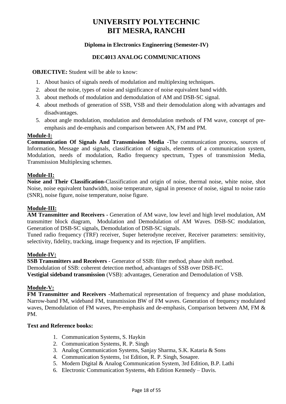#### **Diploma in Electronics Engineering (Semester-IV)**

#### **DEC4013 ANALOG COMMUNICATIONS**

**OBJECTIVE:** Student will be able to know:

- 1. About basics of signals needs of modulation and multiplexing techniques.
- 2. about the noise, types of noise and significance of noise equivalent band width.
- 3. about methods of modulation and demodulation of AM and DSB-SC signal.
- 4. about methods of generation of SSB, VSB and their demodulation along with advantages and disadvantages.
- 5. about angle modulation, modulation and demodulation methods of FM wave, concept of preemphasis and de-emphasis and comparison between AN, FM and PM.

#### **Module-I:**

**Communication Of Signals And Transmission Media -**The communication process, sources of Information, Message and signals, classification of signals, elements of a communication system, Modulation, needs of modulation, Radio frequency spectrum, Types of transmission Media, Transmission Multiplexing schemes.

#### **Module**-**II:**

**Noise and Their Classification-**Classification and origin of noise, thermal noise, white noise, shot Noise, noise equivalent bandwidth, noise temperature, signal in presence of noise, signal to noise ratio (SNR), noise figure, noise temperature, noise figure.

#### **Module**-**III:**

**AM Transmitter and Receivers -** Generation of AM wave, low level and high level modulation, AM transmitter block diagram, Modulation and Demodulation of AM Waves. DSB-SC modulation, Generation of DSB-SC signals, Demodulation of DSB-SC signals.

Tuned radio frequency (TRF) receiver, Super heterodyne receiver, Receiver parameters: sensitivity, selectivity, fidelity, tracking, image frequency and its rejection, IF amplifiers.

#### **Module-IV:**

**SSB Transmitters and Receivers -** Generator of SSB: filter method, phase shift method. Demodulation of SSB: coherent detection method, advantages of SSB over DSB-FC. **Vestigial sideband transmission** (VSB): advantages, Generation and Demodulation of VSB.

#### **Module-V:**

**FM Transmitter and Receivers -**Mathematical representation of frequency and phase modulation, Narrow-band FM, wideband FM, transmission BW of FM waves. Generation of frequency modulated waves, Demodulation of FM waves, Pre-emphasis and de-emphasis, Comparison between AM, FM & PM.

- 1. Communication Systems, S. Haykin
- 2. Communication Systems, R. P. Singh
- 3. Analog Communication Systems, Sanjay Sharma, S.K. Kataria & Sons
- 4. Communication Systems, 1st Edition, R. P. Singh, Sosapre.
- 5. Modern Digital & Analog Communication System, 3rd Edition, B.P. Lathi
- 6. Electronic Communication Systems, 4th Edition Kennedy Davis.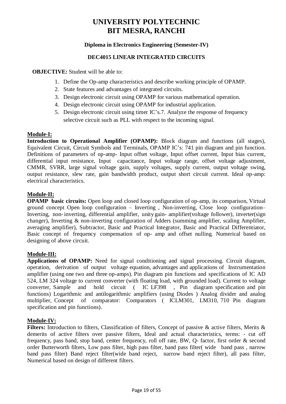#### **Diploma in Electronics Engineering (Semester-IV)**

#### **DEC4015 LINEAR INTEGRATED CIRCUITS**

**OBJECTIVE:** Student will be able to:

- 1. Define the Op-amp characteristics and describe working principle of OPAMP.
- 2. State features and advantages of integrated circuits.
- 3. Design electronic circuit using OPAMP for various mathematical operation.
- 4. Design electronic circuit using OPAMP for industrial application.
- 5. Design electronic circuit using timer IC's.7. Analyze the response of frequency selective circuit such as PLL with respect to the incoming signal.

#### **Module-I:**

**Introduction to Operational Amplifier (OPAMP):** Block diagram and functions (all stages), Equivalent Circuit, Circuit Symbols and Terminals, OPAMP IC's: 741 pin diagram and pin function. Definitions of parameters of op-amp- Input offset voltage, Input offset current, Input bias current, differential input resistance, Input capacitance, Input voltage range, offset voltage adjustment, CMMR, SVRR, large signal voltage gain, supply voltages, supply current, output voltage swing, output resistance, slew rate, gain bandwidth product, output short circuit current. Ideal op-amp: electrical characteristics.

#### **Module-II:**

**OPAMP basic circuits:** Open loop and closed loop configuration of op-amp, its comparison, Virtual ground concept Open loop configuration – Inverting , Non-inverting, Close loop configuration– Inverting, non- inverting, differential amplifier, unity gain- amplifier(voltage follower), inverter(sign changer), Inverting & non-inverting configuration of Adders (summing amplifier, scaling Amplifier, averaging amplifier), Subtractor, Basic and Practical Integrator, Basic and Practical Differentiator, Basic concept of frequency compensation of op- amp and offset nulling, Numerical based on designing of above circuit.

#### **Module-III:**

**Applications of OPAMP:** Need for signal conditioning and signal processing. Circuit diagram, operation, derivation of output voltage equation, advantages and applications of Instrumentation amplifier (using one two and three op-amps). Pin diagram pin functions and specifications of IC AD 524, LM 324 voltage to current converter (with floating load, with grounded load). Current to voltage converter, Sample and hold circuit ( IC LF398 , Pin diagram specification and pin functions) Logarithmic and antilogarithmic amplifiers (using Diodes ) Analog divider and analog multiplier, Concept of comparator: Comparators ( ICLM301, LM310, 710 Pin diagram specification and pin functions).

#### **Module-IV:**

**Filters:** Introduction to filters, Classification of filters, Concept of passive & active filters, Merits & demerits of active filters over passive filters, Ideal and actual characteristics, terms: - cut off frequency, pass band, stop band, center frequency, roll off rate, BW, Q- factor, first order & second order Butterworth filters, Low pass filter, high pass filter, band pass filter( wide band pass , narrow band pass filter) Band reject filter(wide band reject, narrow band reject filter), all pass filter, Numerical based on design of different filters.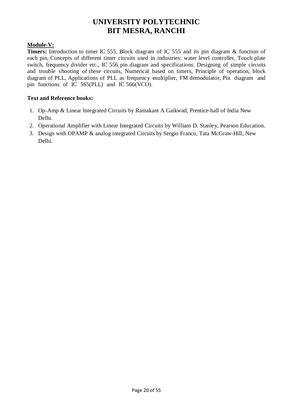#### **Module-V:**

**Timers:** Introduction to timer IC 555, Block diagram of IC 555 and its pin diagram & function of each pin, Concepts of different timer circuits used in industries: water level controller, Touch plate switch, frequency divider etc., IC 556 pin diagram and specifications. Designing of simple circuits and trouble shooting of these circuits, Numerical based on timers, Principle of operation, block diagram of PLL, Applications of PLL as frequency -multiplier, FM demodulator, Pin diagram and pin functions of IC 565(PLL) and IC 566(VCO).

- 1. Op-Amp & Linear Integrated Circuits by Ramakant A Gaikwad, Prentice-hall of India New Delhi.
- 2. Operational Amplifier with Linear Integrated Circuits by William D. Stanley, Pearson Education.
- 3. Design with OPAMP & analog integrated Circuits by Sergio Franco, Tata McGraw-Hill, New Delhi.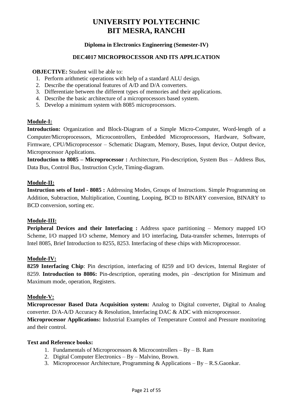#### **Diploma in Electronics Engineering (Semester-IV)**

#### **DEC4017 MICROPROCESSOR AND ITS APPLICATION**

**OBJECTIVE:** Student will be able to:

- 1. Perform arithmetic operations with help of a standard ALU design.
- 2. Describe the operational features of A/D and D/A converters.
- 3. Differentiate between the different types of memories and their applications.
- 4. Describe the basic architecture of a microprocessors based system.
- 5. Develop a minimum system with 8085 microprocessors.

#### **Module-I:**

**Introduction:** Organization and Block-Diagram of a Simple Micro-Computer, Word-length of a Computer/Microprocessors, Microcontrollers, Embedded Microprocessors, Hardware, Software, Firmware, CPU/Microprocessor – Schematic Diagram, Memory, Buses, Input device, Output device, Microprocessor Applications.

**Introduction to 8085 – Microprocessor :** Architecture, Pin-description, System Bus – Address Bus, Data Bus, Control Bus, Instruction Cycle, Timing-diagram.

#### **Module-II:**

**Instruction sets of Intel - 8085 :** Addressing Modes, Groups of Instructions. Simple Programming on Addition, Subtraction, Multiplication, Counting, Looping, BCD to BINARY conversion, BINARY to BCD conversion, sorting etc.

#### **Module-III:**

**Peripheral Devices and their Interfacing :** Address space partitioning – Memory mapped I/O Scheme, I/O mapped I/O scheme, Memory and I/O interfacing, Data-transfer schemes, Interrupts of Intel 8085, Brief Introduction to 8255, 8253. Interfacing of these chips with Microprocessor.

#### **Module-IV:**

**8259 Interfacing Chip**: Pin description, interfacing of 8259 and I/O devices, Internal Register of 8259. **Introduction to 8086:** Pin-description, operating modes, pin –description for Minimum and Maximum mode, operation, Registers.

#### **Module-V:**

**Microprocessor Based Data Acquisition system:** Analog to Digital converter, Digital to Analog converter. D/A-A/D Accuracy & Resolution, Interfacing DAC & ADC with microprocessor.

**Microprocessor Applications:** Industrial Examples of Temperature Control and Pressure monitoring and their control.

- 1. Fundamentals of Microprocessors & Microcontrollers By B. Ram
- 2. Digital Computer Electronics By Malvino, Brown.
- 3. Microprocessor Architecture, Programming & Applications By R.S.Gaonkar.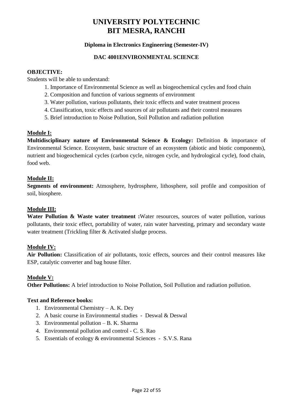#### **Diploma in Electronics Engineering (Semester-IV)**

#### **DAC 4001ENVIRONMENTAL SCIENCE**

#### **OBJECTIVE:**

Students will be able to understand:

- 1. Importance of Environmental Science as well as biogeochemical cycles and food chain
- 2. Composition and function of various segments of environment
- 3. Water pollution, various pollutants, their toxic effects and water treatment process
- 4. Classification, toxic effects and sources of air pollutants and their control measures
- 5. Brief introduction to Noise Pollution, Soil Pollution and radiation pollution

#### **Module I:**

**Multidisciplinary nature of Environmental Science & Ecology:** Definition & importance of Environmental Science. Ecosystem, basic structure of an ecosystem (abiotic and biotic components), nutrient and biogeochemical cycles (carbon cycle, nitrogen cycle, and hydrological cycle), food chain, food web.

#### **Module II:**

**Segments of environment:** Atmosphere, hydrosphere, lithosphere, soil profile and composition of soil, biosphere.

#### **Module III:**

**Water Pollution & Waste water treatment :**Water resources, sources of water pollution, various pollutants, their toxic effect, portability of water, rain water harvesting, primary and secondary waste water treatment (Trickling filter & Activated sludge process.

#### **Module IV:**

**Air Pollution:** Classification of air pollutants, toxic effects, sources and their control measures like ESP, catalytic converter and bag house filter.

#### **Module V:**

**Other Pollutions:** A brief introduction to Noise Pollution, Soil Pollution and radiation pollution.

- 1. Environmental Chemistry A. K. Dey
- 2. A basic course in Environmental studies Deswal & Deswal
- 3. Environmental pollution B. K. Sharma
- 4. Environmental pollution and control C. S. Rao
- 5. Essentials of ecology & environmental Sciences S.V.S. Rana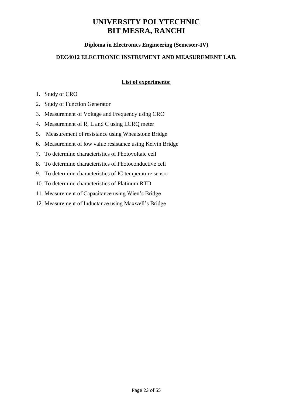#### **Diploma in Electronics Engineering (Semester-IV)**

#### **DEC4012 ELECTRONIC INSTRUMENT AND MEASUREMENT LAB.**

#### **List of experiments:**

#### 1. Study of CRO

- 2. Study of Function Generator
- 3. Measurement of Voltage and Frequency using CRO
- 4. Measurement of R, L and C using LCRQ meter
- 5. Measurement of resistance using Wheatstone Bridge
- 6. Measurement of low value resistance using Kelvin Bridge
- 7. To determine characteristics of Photovoltaic cell
- 8. To determine characteristics of Photoconductive cell
- 9. To determine characteristics of IC temperature sensor
- 10. To determine characteristics of Platinum RTD
- 11. Measurement of Capacitance using Wien's Bridge
- 12. Measurement of Inductance using Maxwell's Bridge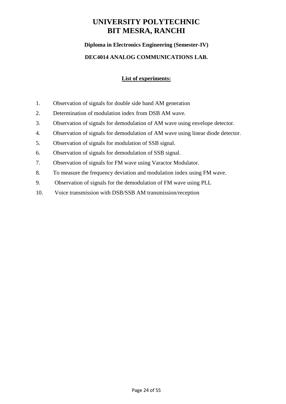#### **Diploma in Electronics Engineering (Semester-IV)**

#### **DEC4014 ANALOG COMMUNICATIONS LAB.**

#### **List of experiments:**

- 1. Observation of signals for double side band AM generation
- 2. Determination of modulation index from DSB AM wave.
- 3. Observation of signals for demodulation of AM wave using envelope detector.
- 4. Observation of signals for demodulation of AM wave using linear diode detector.
- 5. Observation of signals for modulation of SSB signal.
- 6. Observation of signals for demodulation of SSB signal.
- 7. Observation of signals for FM wave using Varactor Modulator.
- 8. To measure the frequency deviation and modulation index using FM wave.
- 9. Observation of signals for the demodulation of FM wave using PLL
- 10. Voice transmission with DSB/SSB AM transmission/reception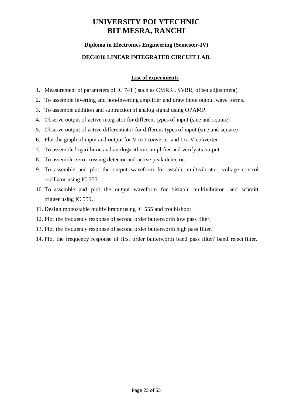#### **Diploma in Electronics Engineering (Semester-IV)**

#### **DEC4016 LINEAR INTEGRATED CIRCUIT LAB.**

#### **List of experiments**

- 1. Measurement of parameters of IC 741 ( such as CMRR , SVRR, offset adjustment)
- 2. To assemble inverting and non-inverting amplifier and draw input output wave forms.
- 3. To assemble addition and subtraction of analog signal using OPAMP.
- 4. Observe output of active integrator for different types of input (sine and square)
- 5. Observe output of active differentiator for different types of input (sine and square)
- 6. Plot the graph of input and output for V to I converter and I to V converter
- 7. To assemble logarithmic and antilogarithmic amplifier and verify its output.
- 8. To assemble zero crossing detector and active peak detector.
- 9. To assemble and plot the output waveform for astable multivibrator, voltage control oscillator using IC 555.
- 10. To assemble and plot the output waveform for bistable multivibrator and schmitt trigger using IC 555.
- 11. Design monostable multivibrator using IC 555 and troublshoot.
- 12. Plot the frequency response of second order butterworth low pass filter.
- 13. Plot the frequency response of second order butterworth high pass filter.
- 14. Plot the frequency response of first order butterworth band pass filter/ band reject filter.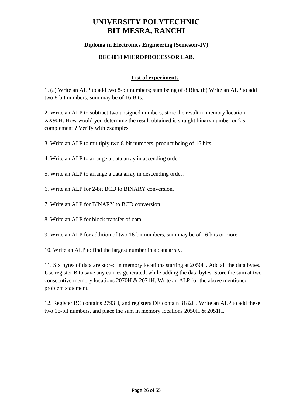#### **Diploma in Electronics Engineering (Semester-IV)**

#### **DEC4018 MICROPROCESSOR LAB.**

#### **List of experiments**

1. (a) Write an ALP to add two 8-bit numbers; sum being of 8 Bits. (b) Write an ALP to add two 8-bit numbers; sum may be of 16 Bits.

2. Write an ALP to subtract two unsigned numbers, store the result in memory location XX90H. How would you determine the result obtained is straight binary number or 2's complement ? Verify with examples.

- 3. Write an ALP to multiply two 8-bit numbers, product being of 16 bits.
- 4. Write an ALP to arrange a data array in ascending order.
- 5. Write an ALP to arrange a data array in descending order.
- 6. Write an ALP for 2-bit BCD to BINARY conversion.
- 7. Write an ALP for BINARY to BCD conversion.
- 8. Write an ALP for block transfer of data.
- 9. Write an ALP for addition of two 16-bit numbers, sum may be of 16 bits or more.
- 10. Write an ALP to find the largest number in a data array.

11. Six bytes of data are stored in memory locations starting at 2050H. Add all the data bytes. Use register B to save any carries generated, while adding the data bytes. Store the sum at two consecutive memory locations 2070H & 2071H. Write an ALP for the above mentioned problem statement.

12. Register BC contains 2793H, and registers DE contain 3182H. Write an ALP to add these two 16-bit numbers, and place the sum in memory locations 2050H & 2051H.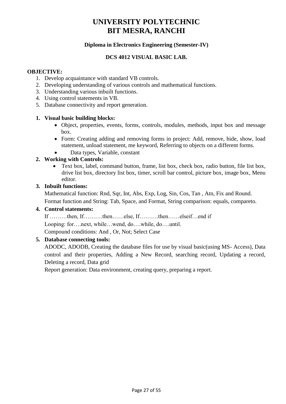#### **Diploma in Electronics Engineering (Semester-IV)**

#### **DCS 4012 VISUAL BASIC LAB.**

#### **OBJECTIVE:**

- 1. Develop acquaintance with standard VB controls.
- 2. Developing understanding of various controls and mathematical functions.
- 3. Understanding various inbuilt functions.
- 4. Using control statements in VB.
- 5. Database connectivity and report generation.

#### **1. Visual basic building blocks:**

- Object, properties, events, forms, controls, modules, methods, input box and message box.
- Form: Creating adding and removing forms in project: Add, remove, hide, show, load statement, unload statement, me keyword, Referring to objects on a different forms.
- Data types, Variable, constant

#### **2. Working with Controls:**

 Text box, label, command button, frame, list box, check box, radio button, file list box, drive list box, directory list box, timer, scroll bar control, picture box, image box, Menu editor.

#### **3. Inbuilt functions:**

Mathematical function: Rnd, Sqr, Int, Abs, Exp, Log, Sin, Cos, Tan , Atn, Fix and Round.

Format function and String: Tab, Space, and Format, String comparison: equals, compareto.

#### **4. Control statements:**

If ………then, If……….then……else, If……….then……elseif…end if Looping: for….next, while…wend, do….while, do….until. Compound conditions: And , Or, Not; Select Case

#### **5. Database connecting tools:**

ADODC, ADODB, Creating the database files for use by visual basic(using MS- Access), Data control and their properties, Adding a New Record, searching record, Updating a record, Deleting a record, Data grid

Report generation: Data environment, creating query, preparing a report.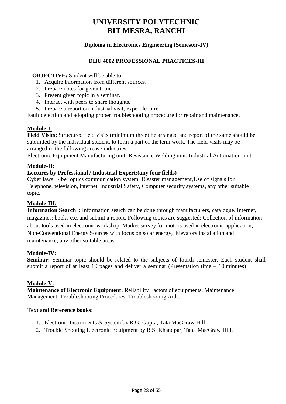#### **Diploma in Electronics Engineering (Semester-IV)**

#### **DHU 4002 PROFESSIONAL PRACTICES-III**

#### **OBJECTIVE:** Student will be able to:

- 1. Acquire information from different sources.
- 2. Prepare notes for given topic.
- 3. Present given topic in a seminar.
- 4. Interact with peers to share thoughts.
- 5. Prepare a report on industrial visit, expert lecture

Fault detection and adopting proper troubleshooting procedure for repair and maintenance.

#### **Module-I:**

**Field Visits:** Structured field visits (minimum three) be arranged and report of the same should be submitted by the individual student, to form a part of the term work. The field visits may be arranged in the following areas / industries:

Electronic Equipment Manufacturing unit, Resistance Welding unit, Industrial Automation unit.

#### **Module-II:**

#### **Lectures by Professional / Industrial Expert:(any four fields)**

Cyber laws, Fiber optics communication system, Disaster management,Use of signals for Telephone, television, internet, Industrial Safety, Computer security systems, any other suitable topic.

#### **Module-III:**

**Information Search :** Information search can be done through manufacturers, catalogue, internet, magazines; books etc. and submit a report. Following topics are suggested: Collection of information about tools used in electronic workshop, Market survey for motors used in electronic application, Non-Conventional Energy Sources with focus on solar energy, Elevators installation and maintenance, any other suitable areas.

#### **Module-IV:**

Seminar: Seminar topic should be related to the subjects of fourth semester. Each student shall submit a report of at least 10 pages and deliver a seminar (Presentation time  $-10$  minutes)

#### **Module-V:**

**Maintenance of Electronic Equipment:** Reliability Factors of equipments, Maintenance Management, Troubleshooting Procedures, Troubleshooting Aids.

- 1. Electronic Instruments & System by R.G. Gupta, Tata MacGraw Hill.
- 2. Trouble Shooting Electronic Equipment by R.S. Khandpar, Tata MacGraw Hill.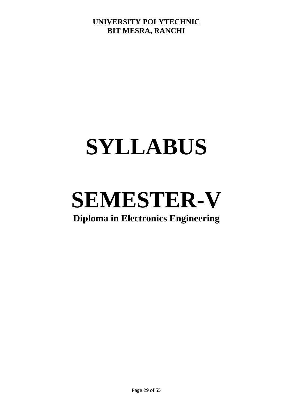## **SYLLABUS**

# **SEMESTER-V**

## **Diploma in Electronics Engineering**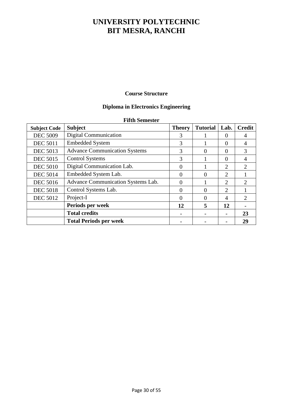#### **Course Structure**

#### **Diploma in Electronics Engineering**

#### **Fifth Semester**

| <b>Subject Code</b> | <b>Subject</b>                       | <b>Theory</b> | <b>Tutorial</b> | Lab.           | <b>Credit</b>               |
|---------------------|--------------------------------------|---------------|-----------------|----------------|-----------------------------|
| <b>DEC 5009</b>     | <b>Digital Communication</b>         | 3             |                 | $\Omega$       | 4                           |
| <b>DEC 5011</b>     | <b>Embedded System</b>               | 3             |                 | $\Omega$       |                             |
| <b>DEC 5013</b>     | <b>Advance Communication Systems</b> | 3             | $\theta$        | $\Omega$       | $\mathcal{R}$               |
| <b>DEC 5015</b>     | <b>Control Systems</b>               | 3             |                 | $\Omega$       | 4                           |
| <b>DEC 5010</b>     | Digital Communication Lab.           | $\Omega$      |                 | $\overline{2}$ | $\overline{2}$              |
| <b>DEC 5014</b>     | Embedded System Lab.                 | 0             | $\Omega$        | $\overline{2}$ |                             |
| <b>DEC 5016</b>     | Advance Communication Systems Lab.   | 0             |                 | $\overline{2}$ | $\mathcal{D}_{\mathcal{L}}$ |
| <b>DEC 5018</b>     | Control Systems Lab.                 | 0             | $\theta$        | 2              |                             |
| <b>DEC 5012</b>     | Project-I                            | 0             | 0               | $\overline{A}$ | 2                           |
|                     | Periods per week                     | 12            | 5               | 12             |                             |
|                     | <b>Total credits</b>                 |               |                 |                | 23                          |
|                     | <b>Total Periods per week</b>        |               |                 |                | 29                          |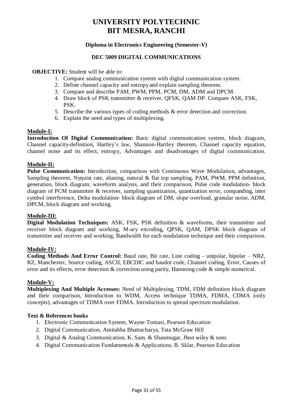#### **Diploma in Electronics Engineering (Semester-V)**

#### **DEC 5009 DIGITAL COMMUNICATIONS**

**OBJECTIVE:** Student will be able to:

- 1. Compare analog communication system with digital communication system.
- 2. Define channel capacity and entropy and explain sampling theorem.
- 3. Compare and describe PAM, PWM, PPM, PCM, DM, ADM and DPCM.
- 4. Draw block of PSK transmitter & receiver, QFSK, QAM DP. Compare ASK, FSK, PSK.
- 5. Describe the various types of coding methods & error detection and correction.
- 6. Explain the need and types of multiplexing.

#### **Module-I:**

**Introduction Of Digital Communication:** Basic digital communication system, block diagram, Channel capacity-definition, Hartley's law, Shannon-Hartley theorem, Channel capacity equation, channel noise and its effect, entropy, Advantages and disadvantages of digital communication.

#### **Module-II:**

**Pulse Communication:** Introduction, comparison with Continuous Wave Modulation, advantages, Sampling theorem, Nyquist rate, aliasing, natural & flat top sampling, PAM, PWM, PPM definition, generation, block diagram, waveform analysis, and their comparison, Pulse code modulation- block diagram of PCM transmitter & receiver, sampling quantization, quantization error, companding, inter symbol interference, Delta modulation- block diagram of DM, slope overload, granular noise, ADM, DPCM, block diagram and working.

#### **Module-III:**

**Digital Modulation Techniques:** ASK, FSK, PSK definition & waveforms, their transmitter and receiver block diagram and working, M-ary encoding, QPSK, QAM, DPSK block diagram of transmitter and receiver and working, Bandwidth for each modulation technique and their comparison.

#### **Module-IV:**

**Coding Methods And Error Control:** Baud rate, Bit rate, Line coding - unipolar, bipolar – NRZ, RZ, Manchester, Source coding, ASCII, EBCDIC and baudot code, Channel coding, Error, Causes of error and its effects, error detection & correction using parity, Hamming code & simple numerical.

#### **Module-V:**

**Multiplexing And Multiple Accesses:** Need of Multiplexing, TDM, FDM definition block diagram and their comparison, Introduction to WDM, Access technique TDMA, FDMA, CDMA (only concepts), advantages of TDMA over FDMA. Introduction to spread spectrum modulation.

#### **Text & References books**

- 1. Electronic Communication System, Wayne Tomasi, Pearson Education
- 2. Digital Communication, Amitabha Bhattacharya, Tata McGraw Hill
- 3. Digital & Analog Communication, K. Sam. & Shanmugar, Jhon wiley & sons
- 4. Digital Communication Fundamentals & Applications, B. Sklar, Pearson Education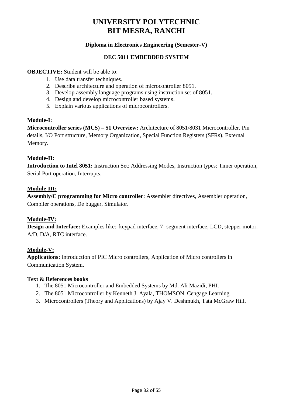#### **Diploma in Electronics Engineering (Semester-V)**

#### **DEC 5011 EMBEDDED SYSTEM**

#### **OBJECTIVE:** Student will be able to:

- 1. Use data transfer techniques.
- 2. Describe architecture and operation of microcontroller 8051.
- 3. Develop assembly language programs using instruction set of 8051.
- 4. Design and develop microcontroller based systems.
- 5. Explain various applications of microcontrollers.

#### **Module-I:**

**Microcontroller series (MCS) – 51 Overview:** Architecture of 8051/8031 Microcontroller, Pin details, I/O Port structure, Memory Organization, Special Function Registers (SFRs), External Memory.

#### **Module-II:**

**Introduction to Intel 8051:** Instruction Set; Addressing Modes, Instruction types: Timer operation, Serial Port operation, Interrupts.

#### **Module-III:**

**Assembly/C programming for Micro controller**: Assembler directives, Assembler operation, Compiler operations, De bugger, Simulator.

#### **Module-IV:**

**Design and Interface:** Examples like: keypad interface, 7- segment interface, LCD, stepper motor. A/D, D/A, RTC interface.

#### **Module-V:**

**Applications:** Introduction of PIC Micro controllers, Application of Micro controllers in Communication System.

#### **Text & References books**

- 1. The 8051 Microcontroller and Embedded Systems by Md. Ali Mazidi, PHI.
- 2. The 8051 Microcontroller by Kenneth J. Ayala, THOMSON, Cengage Learning.
- 3. Microcontrollers (Theory and Applications) by Ajay V. Deshmukh, Tata McGraw Hill.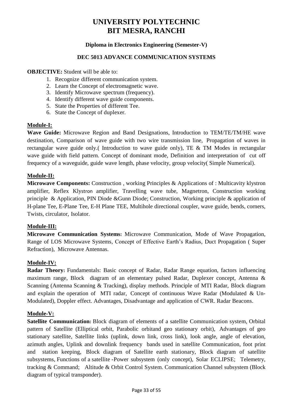#### **Diploma in Electronics Engineering (Semester-V)**

#### **DEC 5013 ADVANCE COMMUNICATION SYSTEMS**

**OBJECTIVE:** Student will be able to:

- 1. Recognize different communication system.
- 2. Learn the Concept of electromagnetic wave.
- 3. Identify Microwave spectrum (frequency).
- 4. Identify different wave guide components.
- 5. State the Properties of different Tee.
- 6. State the Concept of duplexer.

#### **Module-I:**

**Wave Guide:** Microwave Region and Band Designations, Introduction to TEM/TE/TM/HE wave destination, Comparison of wave guide with two wire transmission line, Propagation of waves in rectangular wave guide only.( Introduction to wave guide only), TE & TM Modes in rectangular wave guide with field pattern. Concept of dominant mode, Definition and interpretation of cut off frequency of a waveguide, guide wave length, phase velocity, group velocity( Simple Numerical).

#### **Module-II:**

**Microwave Components:** Construction , working Principles & Applications of : Multicavity klystron amplifier, Reflex Klystron amplifier, Travelling wave tube, Magnetron, Construction working principle & Application, PIN Diode &Gunn Diode; Construction, Working principle & application of H-plane Tee, E-Plane Tee, E-H Plane TEE, Multihole directional coupler, wave guide, bends, corners, Twists, circulator, Isolator.

#### **Module-III:**

**Microwave Communication Systems:** Microwave Communication, Mode of Wave Propagation, Range of LOS Microwave Systems, Concept of Effective Earth's Radius, Duct Propagation ( Super Refraction), Microwave Antennas.

#### **Module-IV:**

**Radar Theory:** Fundamentals: Basic concept of Radar, Radar Range equation, factors influencing maximum range, Block diagram of an elementary pulsed Radar, Duplexer concept, Antenna & Scanning (Antenna Scanning & Tracking), display methods. Principle of MTI Radar, Block diagram and explain the operation of MTI radar, Concept of continuous Wave Radar (Modulated & Un-Modulated), Doppler effect. Advantages, Disadvantage and application of CWR. Radar Beacons.

#### **Module-V:**

**Satellite Communication:** Block diagram of elements of a satellite Communication system, Orbital pattern of Satellite (Elliptical orbit, Parabolic orbitand geo stationary orbit), Advantages of geo stationary satellite, Satellite links (uplink, down link, cross link), look angle, angle of elevation, azimuth angles, Uplink and downlink frequency bands used in satellite Communication, foot print and station keeping, Block diagram of Satellite earth stationary, Block diagram of satellite subsystems, Functions of a satellite -Power subsystem (only concept), Solar ECLIPSE; Telemetry, tracking & Command; Altitude & Orbit Control System. Communication Channel subsystem (Block diagram of typical transponder).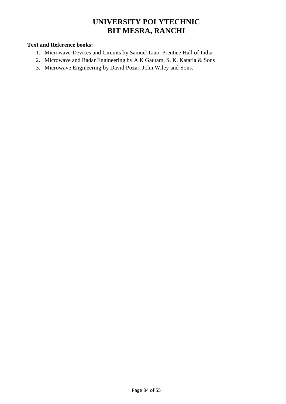- 1. Microwave Devices and Circuits by Samuel Liao, Prentice Hall of India
- 2. Microwave and Radar Engineering by A K Gautam, S. K. Kataria & Sons
- 3. Microwave Engineering by David Pozar, John Wiley and Sons.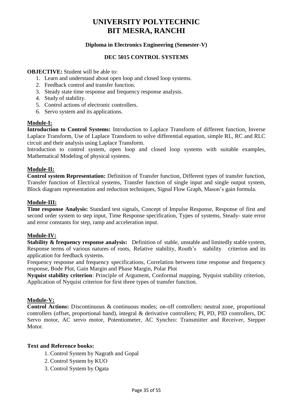#### **Diploma in Electronics Engineering (Semester-V)**

#### **DEC 5015 CONTROL SYSTEMS**

#### **OBJECTIVE:** Student will be able to:

- 1. Learn and understand about open loop and closed loop systems.
- 2. Feedback control and transfer function.
- 3. Steady state time response and frequency response analysis.
- 4. Study of stability.
- 5. Control actions of electronic controllers.
- 6. Servo system and its applications.

#### **Module-I:**

**Introduction to Control Systems:** Introduction to Laplace Transform of different function, Inverse Laplace Transform, Use of Laplace Transform to solve differential equation, simple RL, RC and RLC circuit and their analysis using Laplace Transform.

Introduction to control system, open loop and closed loop systems with suitable examples, Mathematical Modeling of physical systems.

#### **Module-II:**

**Control system Representation:** Definition of Transfer function, Different types of transfer function, Transfer function of Electrical systems, Transfer function of single input and single output system, Block diagram representation and reduction techniques, Signal Flow Graph, Mason's gain formula.

#### **Module-III:**

**Time response Analysis:** Standard test signals, Concept of Impulse Response, Response of first and second order system to step input, Time Response specification, Types of systems, Steady- state error and error constants for step, ramp and acceleration input.

#### **Module-IV:**

**Stability & frequency response analysis:** Definition of stable, unstable and limitedly stable system, Response terms of various natures of roots, Relative stability, Routh's stability criterion and its application for feedback systems.

Frequency response and frequency specifications, Correlation between time response and frequency response, Bode Plot, Gain Margin and Phase Margin, Polar Plot

**Nyquist stability criterion**: Principle of Argument, Conformal mapping, Nyquist stability criterion, Application of Nyquist criterion for first three types of transfer function.

#### **Module-V:**

**Control Actions:** Discontinuous & continuous modes; on-off controllers: neutral zone, proportional controllers (offset, proportional band), integral & derivative controllers; PI, PD, PID controllers, DC Servo motor, AC servo motor, Potentiometer, AC Synchro: Transmitter and Receiver, Stepper Motor.

- 1. Control System by Nagrath and Gopal
- 2. Control System by KUO
- 3. Control System by Ogata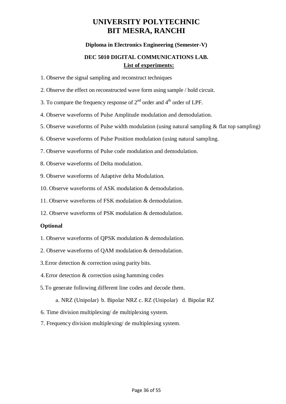#### **Diploma in Electronics Engineering (Semester-V)**

#### **DEC 5010 DIGITAL COMMUNICATIONS LAB. List of experiments:**

- 1. Observe the signal sampling and reconstruct techniques
- 2. Observe the effect on reconstructed wave form using sample / hold circuit.
- 3. To compare the frequency response of  $2<sup>nd</sup>$  order and  $4<sup>th</sup>$  order of LPF.
- 4. Observe waveforms of Pulse Amplitude modulation and demodulation.
- 5. Observe waveforms of Pulse width modulation (using natural sampling & flat top sampling)
- 6. Observe waveforms of Pulse Position modulation (using natural sampling.
- 7. Observe waveforms of Pulse code modulation and demodulation.
- 8. Observe waveforms of Delta modulation.
- 9. Observe waveforms of Adaptive delta Modulation.
- 10. Observe waveforms of ASK modulation & demodulation.
- 11. Observe waveforms of FSK modulation & demodulation.
- 12. Observe waveforms of PSK modulation & demodulation.

#### **Optional**

- 1. Observe waveforms of QPSK modulation & demodulation.
- 2. Observe waveforms of QAM modulation & demodulation.
- 3. Error detection & correction using parity bits.
- 4. Error detection & correction using hamming codes
- 5. To generate following different line codes and decode them.
	- a. NRZ (Unipolar) b. Bipolar NRZ c. RZ (Unipolar) d. Bipolar RZ
- 6. Time division multiplexing/ de multiplexing system.
- 7. Frequency division multiplexing/ de multiplexing system.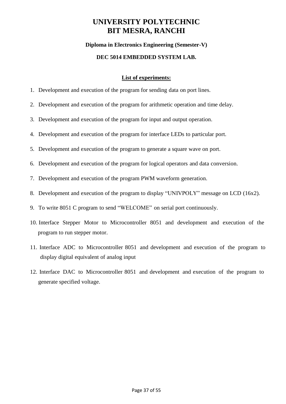#### **Diploma in Electronics Engineering (Semester-V)**

#### **DEC 5014 EMBEDDED SYSTEM LAB.**

#### **List of experiments:**

- 1. Development and execution of the program for sending data on port lines.
- 2. Development and execution of the program for arithmetic operation and time delay.
- 3. Development and execution of the program for input and output operation.
- 4. Development and execution of the program for interface LEDs to particular port.
- 5. Development and execution of the program to generate a square wave on port.
- 6. Development and execution of the program for logical operators and data conversion.
- 7. Development and execution of the program PWM waveform generation.
- 8. Development and execution of the program to display "UNIVPOLY" message on LCD (16x2).
- 9. To write 8051 C program to send "WELCOME" on serial port continuously.
- 10. Interface Stepper Motor to Microcontroller 8051 and development and execution of the program to run stepper motor.
- 11. Interface ADC to Microcontroller 8051 and development and execution of the program to display digital equivalent of analog input
- 12. Interface DAC to Microcontroller 8051 and development and execution of the program to generate specified voltage.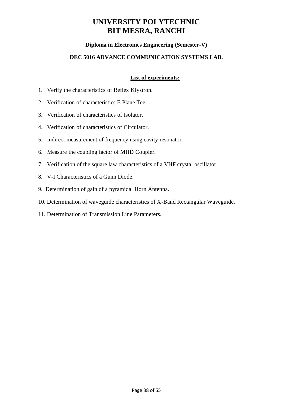#### **Diploma in Electronics Engineering (Semester-V)**

#### **DEC 5016 ADVANCE COMMUNICATION SYSTEMS LAB.**

#### **List of experiments:**

- 1. Verify the characteristics of Reflex Klystron.
- 2. Verification of characteristics E Plane Tee.
- 3. Verification of characteristics of Isolator.
- 4. Verification of characteristics of Circulator.
- 5. Indirect measurement of frequency using cavity resonator.
- 6. Measure the coupling factor of MHD Coupler.
- 7. Verification of the square law characteristics of a VHF crystal oscillator
- 8. V-I Characteristics of a Gunn Diode.
- 9. Determination of gain of a pyramidal Horn Antenna.
- 10. Determination of waveguide characteristics of X-Band Rectangular Waveguide.
- 11. Determination of Transmission Line Parameters.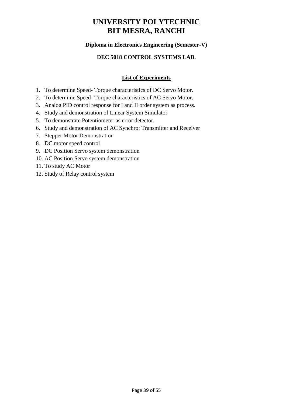#### **Diploma in Electronics Engineering (Semester-V)**

#### **DEC 5018 CONTROL SYSTEMS LAB.**

#### **List of Experiments**

- 1. To determine Speed- Torque characteristics of DC Servo Motor.
- 2. To determine Speed- Torque characteristics of AC Servo Motor.
- 3. Analog PID control response for I and II order system as process.
- 4. Study and demonstration of Linear System Simulator
- 5. To demonstrate Potentiometer as error detector.
- 6. Study and demonstration of AC Synchro: Transmitter and Receiver
- 7. Stepper Motor Demonstration
- 8. DC motor speed control
- 9. DC Position Servo system demonstration
- 10. AC Position Servo system demonstration
- 11. To study AC Motor
- 12. Study of Relay control system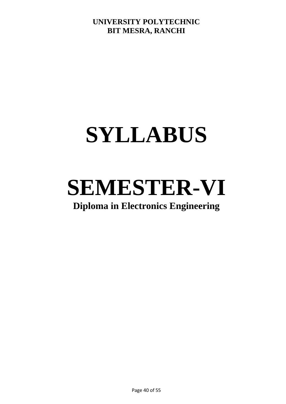## **SYLLABUS**

# **SEMESTER-VI**

## **Diploma in Electronics Engineering**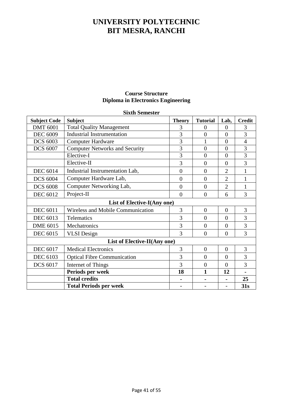#### **Course Structure Diploma in Electronics Engineering**

| <b>Subject Code</b>          | <b>Subject</b>                        | <b>Theory</b>  | <b>Tutorial</b> | Lab,           | <b>Credit</b>  |  |
|------------------------------|---------------------------------------|----------------|-----------------|----------------|----------------|--|
| <b>DMT 6001</b>              | <b>Total Quality Management</b>       | 3              | 0               | $\theta$       | 3              |  |
| <b>DEC 6009</b>              | <b>Industrial Instrumentation</b>     | 3              | $\overline{0}$  | $\overline{0}$ | 3              |  |
| <b>DCS 6003</b>              | <b>Computer Hardware</b>              | $\overline{3}$ |                 | $\overline{0}$ | $\overline{4}$ |  |
| <b>DCS 6007</b>              | <b>Computer Networks and Security</b> | 3              | $\overline{0}$  | $\overline{0}$ | 3              |  |
|                              | Elective-I                            | 3              | $\overline{0}$  | $\overline{0}$ | 3              |  |
|                              | Elective-II                           | 3              | $\overline{0}$  | $\overline{0}$ | 3              |  |
| <b>DEC 6014</b>              | Industrial Instrumentation Lab,       | $\overline{0}$ | $\theta$        | $\overline{2}$ | $\mathbf{1}$   |  |
| <b>DCS 6004</b>              | Computer Hardware Lab,                | $\theta$       | $\theta$        | $\overline{2}$ | 1              |  |
| <b>DCS 6008</b>              | Computer Networking Lab,              | $\overline{0}$ | $\theta$        | $\overline{2}$ | $\mathbf{1}$   |  |
| <b>DEC 6012</b>              | Project-II                            | $\overline{0}$ | $\overline{0}$  | 6              | 3              |  |
| List of Elective-I(Any one)  |                                       |                |                 |                |                |  |
| <b>DEC 6011</b>              | Wireless and Mobile Communication     | 3              | $\overline{0}$  | $\overline{0}$ | 3              |  |
| <b>DEC 6013</b>              | Telematics                            | 3              | $\overline{0}$  | $\overline{0}$ | 3              |  |
| <b>DME 6015</b>              | Mechatronics                          | 3              | $\theta$        | $\overline{0}$ | 3              |  |
| <b>DEC 6015</b>              | <b>VLSI</b> Design                    | 3              | $\theta$        | $\overline{0}$ | 3              |  |
| List of Elective-II(Any one) |                                       |                |                 |                |                |  |
| <b>DEC 6017</b>              | <b>Medical Electronics</b>            | 3              | $\overline{0}$  | $\overline{0}$ | 3              |  |
| <b>DEC 6103</b>              | <b>Optical Fibre Communication</b>    | 3              | $\theta$        | $\overline{0}$ | 3              |  |
| <b>DCS 6017</b>              | Internet of Things                    | 3              | $\overline{0}$  | $\overline{0}$ | 3              |  |
|                              | Periods per week                      | 18             | 1               | 12             |                |  |
|                              | <b>Total credits</b>                  |                |                 |                | 25             |  |
|                              | <b>Total Periods per week</b>         |                |                 |                | 31s            |  |

#### **Sixth Semester**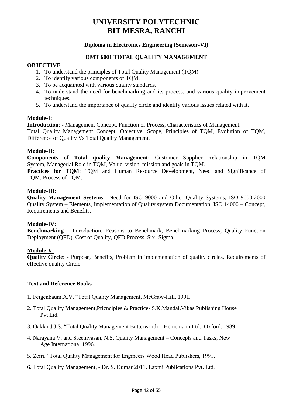#### **Diploma in Electronics Engineering (Semester-VI)**

#### **DMT 6001 TOTAL QUALITY MANAGEMENT**

#### **OBJECTIVE**

- 1. To understand the principles of Total Quality Management (TQM).
- 2. To identify various components of TQM.
- 3. To be acquainted with various quality standards.
- 4. To understand the need for benchmarking and its process, and various quality improvement techniques.
- 5. To understand the importance of quality circle and identify various issues related with it.

#### **Module-I:**

**Introduction**: - Management Concept, Function or Process, Characteristics of Management. Total Quality Management Concept, Objective, Scope, Principles of TQM, Evolution of TQM, Difference of Quality Vs Total Quality Management.

#### **Module-II:**

**Components of Total quality Management**: Customer Supplier Relationship in TQM System, Managerial Role in TQM, Value, vision, mission and goals in TQM.

**Practices for TQM**: TQM and Human Resource Development, Need and Significance of TQM, Process of TQM.

#### **Module-III:**

**Quality Management Systems**: -Need for ISO 9000 and Other Quality Systems, ISO 9000:2000 Quality System – Elements, Implementation of Quality system Documentation, ISO 14000 – Concept, Requirements and Benefits.

#### **Module-IV:**

**Benchmarking** – Introduction, Reasons to Benchmark, Benchmarking Process, Quality Function Deployment (QFD), Cost of Quality, QFD Process. Six- Sigma.

#### **Module-V:**

**Quality Circle**: - Purpose, Benefits, Problem in implementation of quality circles, Requirements of effective quality Circle.

- 1. Feigenbaum.A.V. "Total Quality Management, McGraw-Hill, 1991.
- 2. Total Quality Management,Pricnciples & Practice- S.K.Mandal.Vikas Publishing House Pvt Ltd.
- 3. Oakland.J.S. "Total Quality Management Butterworth Hcinemann Ltd., Oxford. 1989.
- 4. Narayana V. and Sreenivasan, N.S. Quality Management Concepts and Tasks, New Age International 1996.
- 5. Zeiri. "Total Quality Management for Engineers Wood Head Publishers, 1991.
- 6. Total Quality Management, Dr. S. Kumar 2011. Laxmi Publications Pvt. Ltd.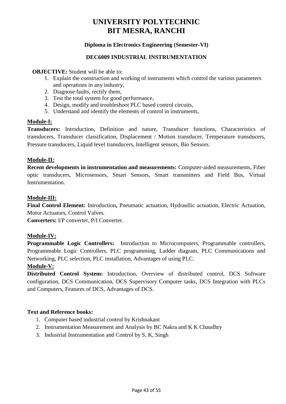#### **Diploma in Electronics Engineering (Semester-VI)**

#### **DEC6009 INDUSTRIAL INSTRUMENTATION**

#### **OBJECTIVE:** Student will be able to:

- 1. Explain the construction and working of instruments which control the various parameters and operations in any industry,
- 2. Diagnose faults, rectify them,
- 3. Test the total system for good performance,
- 4. Design, modify and troubleshoot PLC based control circuits,
- 5. Understand and identify the elements of control in instruments,

#### **Module-I:**

**Transducers:** Introduction, Definition and nature, Transducer functions, Characteristics of transducers, Transducer classification, Displacement / Motion transducer, Temperature transducers, Pressure transducers, Liquid level transducers, Intelligent sensors, Bio Sensors.

#### **Module-II:**

**Recent developments in instrumentation and measurements:** Computer-aided measurements, Fiber optic transducers, Microsensors, Smart Sensors, Smart transmitters and Field Bus, Virtual Instrumentation.

#### **Module-III:**

**Final Control Element:** Introduction**,** Pneumatic actuation, Hydraullic actuation, Electric Actuation, Motor Actuators, Control Valves.

**Converters:** I/P converter, P/I Converter.

#### **Module-IV:**

**Programmable Logic Controllers:** Introduction to Microcomputers, Programmable controllers, Programmable Logic Controllers, PLC programming, Ladder diagram, PLC Communications and Networking, PLC selection, PLC installation, Advantages of using PLC.

#### **Module-V:**

**Distributed Control System:** Introduction, Overview of distributed control, DCS Software configuration, DCS Communication, DCS Supervisory Computer tasks, DCS Integration with PLCs and Computers, Features of DCS, Advantages of DCS.

- 1. Computer based industrial control by Krishnakant
- 2. Instrumentation Measurement and Analysis by BC Nakra and K K Chaudhry
- 3. Industrial Instrumentation and Control by S, K, Singh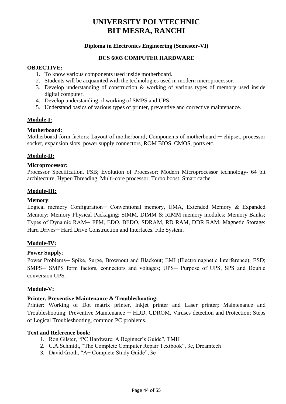#### **Diploma in Electronics Engineering (Semester-VI)**

#### **DCS 6003 COMPUTER HARDWARE**

#### **OBJECTIVE:**

- 1. To know various components used inside motherboard.
- 2. Students will be acquainted with the technologies used in modern microprocessor.
- 3. Develop understanding of construction & working of various types of memory used inside digital computer.
- 4. Develop understanding of working of SMPS and UPS.
- 5. Understand basics of various types of printer, preventive and corrective maintenance.

#### **Module-I:**

#### **Motherboard:**

Motherboard form factors; Layout of motherboard; Components of motherboard — chipset, processor socket, expansion slots, power supply connectors, ROM BIOS, CMOS, ports etc.

#### **Module-II:**

#### **Microprocessor:**

Processor Specification, FSB; Evolution of Processor; Modern Microprocessor technology- 64 bit architecture, Hyper-Threading, Multi-core processor, Turbo boost, Smart cache.

#### **Module-III:**

#### **Memory**:

Logical memory Configuration- Conventional memory, UMA, Extended Memory & Expanded Memory; Memory Physical Packaging; SIMM, DIMM & RIMM memory modules; Memory Banks; Types of Dynamic RAM─ FPM, EDO, BEDO, SDRAM, RD RAM, DDR RAM. Magnetic Storage: Hard Drives-Hard Drive Construction and Interfaces. File System.

#### **Module-IV:**

#### **Power Supply**:

Power Problems- Spike, Surge, Brownout and Blackout; EMI (Electromagnetic Interference); ESD; SMPS- SMPS form factors, connectors and voltages; UPS- Purpose of UPS, SPS and Double conversion UPS.

#### **Module-V:**

#### **Printer, Preventive Maintenance & Troubleshooting:**

Printer: Working of Dot matrix printer, Inkjet printer and Laser printer**;** Maintenance and Troubleshooting: Preventive Maintenance **─** HDD, CDROM, Viruses detection and Protection; Steps of Logical Troubleshooting, common PC problems.

- 1. Ron Gilster, "PC Hardware: A Beginner's Guide", TMH
- 2. C.A.Schmidt, "The Complete Computer Repair Textbook", 3e, Dreamtech
- 3. David Groth, "A+ Complete Study Guide", 3e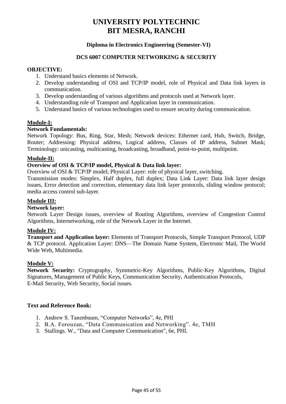#### **Diploma in Electronics Engineering (Semester-VI)**

#### **DCS 6007 COMPUTER NETWORKING & SECURITY**

#### **OBJECTIVE:**

- 1. Understand basics elements of Network.
- 2. Develop understanding of OSI and TCP/IP model, role of Physical and Data link layers in communication.
- 3. Develop understanding of various algorithms and protocols used at Network layer.
- 4. Understanding role of Transport and Application layer in communication.
- 5. Understand basics of various technologies used to ensure security during communication.

#### **Module-I:**

#### **Network Fundamentals:**

Network Topology: Bus, Ring, Star, Mesh; Network devices: Ethernet card, Hub, Switch, Bridge, Router; Addressing: Physical address, Logical address, Classes of IP address, Subnet Mask; Terminology: unicasting, multicasting, broadcasting, broadband, point-to-point, multipoint.

#### **Module-II:**

#### **Overview of OSI & TCP/IP model, Physical & Data link layer:**

Overview of OSI & TCP/IP model; Physical Layer: role of physical layer, switching.

Transmission modes: Simplex, Half duplex, full duplex; Data Link Layer: Data link layer design issues, Error detection and correction, elementary data link layer protocols, sliding window protocol; media access control sub-layer.

#### **Module III:**

#### **Network layer:**

Network Layer Design issues, overview of Routing Algorithms, overview of Congestion Control Algorithms, Internetworking, role of the Network Layer in the Internet.

#### **Module IV:**

**Transport and Application layer:** Elements of Transport Protocols, Simple Transport Protocol, UDP & TCP protocol. Application Layer: DNS—The Domain Name System, Electronic Mail, The World Wide Web, Multimedia.

#### **Module V:**

**Network Security:** Cryptography, Symmetric-Key Algorithms, Public-Key Algorithms, Digital Signatures, Management of Public Keys, Communication Security, Authentication Protocols, E-Mail Security, Web Security, Social issues.

- 1. Andrew S. Tanenbaum, "Computer Networks", 4e, PHI
- 2. B.A. Forouzan, "Data Communication and Networking". 4e, TMH
- 3. Stallings. W., "Data and Computer Communication", 6e, PHI.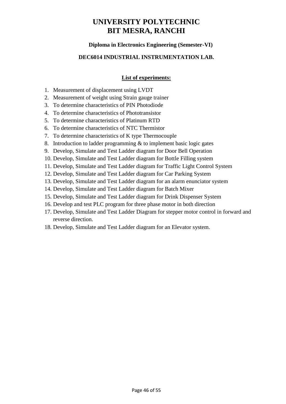#### **Diploma in Electronics Engineering (Semester-VI)**

#### **DEC6014 INDUSTRIAL INSTRUMENTATION LAB.**

#### **List of experiments:**

- 1. Measurement of displacement using LVDT
- 2. Measurement of weight using Strain gauge trainer
- 3. To determine characteristics of PIN Photodiode
- 4. To determine characteristics of Phototransistor
- 5. To determine characteristics of Platinum RTD
- 6. To determine characteristics of NTC Thermistor
- 7. To determine characteristics of K type Thermocouple
- 8. Introduction to ladder programming & to implement basic logic gates
- 9. Develop, Simulate and Test Ladder diagram for Door Bell Operation
- 10. Develop, Simulate and Test Ladder diagram for Bottle Filling system
- 11. Develop, Simulate and Test Ladder diagram for Traffic Light Control System
- 12. Develop, Simulate and Test Ladder diagram for Car Parking System
- 13. Develop, Simulate and Test Ladder diagram for an alarm enunciator system
- 14. Develop, Simulate and Test Ladder diagram for Batch Mixer
- 15. Develop, Simulate and Test Ladder diagram for Drink Dispenser System
- 16. Develop and test PLC program for three phase motor in both direction
- 17. Develop, Simulate and Test Ladder Diagram for stepper motor control in forward and reverse direction.
- 18. Develop, Simulate and Test Ladder diagram for an Elevator system.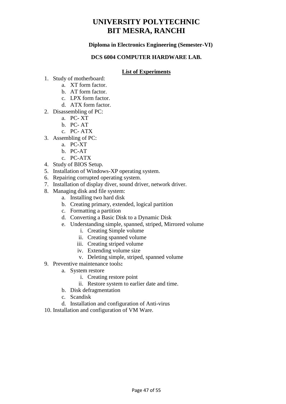#### **Diploma in Electronics Engineering (Semester-VI)**

#### **DCS 6004 COMPUTER HARDWARE LAB.**

#### **List of Experiments**

- 1. Study of motherboard:
	- a. XT form factor.
	- b. AT form factor.
	- c. LPX form factor.
	- d. ATX form factor.
- 2. Disassembling of PC:
	- a. PC- XT
	- b. PC- AT
	- c. PC- ATX
- 3. Assembling of PC:
	- a. PC-XT
	- b. PC-AT
	- c. PC-ATX
- 4. Study of BIOS Setup.
- 5. Installation of Windows-XP operating system.
- 6. Repairing corrupted operating system.
- 7. Installation of display diver, sound driver, network driver.
- 8. Managing disk and file system:
	- a. Installing two hard disk
	- b. Creating primary, extended, logical partition
	- c. Formatting a partition
	- d. Converting a Basic Disk to a Dynamic Disk
	- e. Understanding simple, spanned, striped, Mirrored volume
		- i. Creating Simple volume
		- ii. Creating spanned volume
		- iii. Creating striped volume
		- iv. Extending volume size
		- v. Deleting simple, striped, spanned volume
- 9. Preventive maintenance tools**:**
	- a. System restore
		- i. Creating restore point
		- ii. Restore system to earlier date and time.
	- b. Disk defragmentation
	- c. Scandisk
	- d. Installation and configuration of Anti-virus
- 10. Installation and configuration of VM Ware.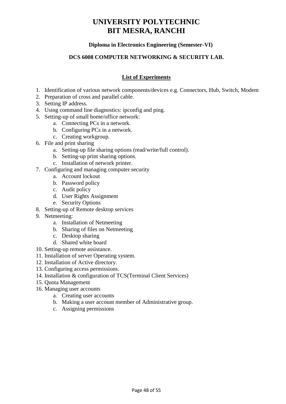#### **Diploma in Electronics Engineering (Semester-VI)**

#### **DCS 6008 COMPUTER NETWORKING & SECURITY LAB.**

#### **List of Experiments**

- 1. Identification of various network components/devices e.g. Connectors, Hub, Switch, Modem
- 2. Preparation of cross and parallel cable.
- 3. Setting IP address.
- 4. Using command line diagnostics: ipconfig and ping.
- 5. Setting-up of small home/office network:
	- a. Connecting PCs in a network.
	- b. Configuring PCs in a network.
	- c. Creating workgroup.
- 6. File and print sharing
	- a. Setting-up file sharing options (read/write/full control).
	- b. Setting-up print sharing options.
	- c. Installation of network printer.
- 7. Configuring and managing computer security
	- a. Account lockout
	- b. Password policy
	- c. Audit policy
	- d. User Rights Assignment
	- e. Security Options
- 8. Setting-up of Remote desktop services
- 9. Netmeeting:
	- a. Installation of Netmeeting
	- b. Sharing of files on Netmeeting
	- c. Desktop sharing
	- d. Shared white board
- 10. Setting-up remote assistance.
- 11. Installation of server Operating system.
- 12. Installation of Active directory.
- 13. Configuring access permissions.
- 14. Installation & configuration of TCS(Terminal Client Services)
- 15. Quota Management
- 16. Managing user accounts
	- a. Creating user accounts
	- b. Making a user account member of Administrative group.
	- c. Assigning permissions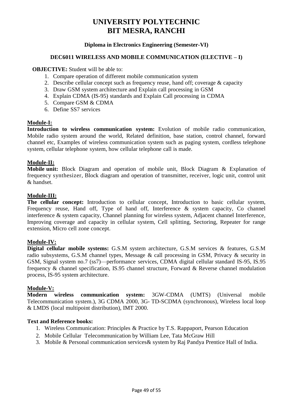#### **Diploma in Electronics Engineering (Semester-VI)**

#### **DEC6011 WIRELESS AND MOBILE COMMUNICATION (ELECTIVE – I)**

#### **OBJECTIVE:** Student will be able to:

- 1. Compare operation of different mobile communication system
- 2. Describe cellular concept such as frequency reuse, hand off; coverage & capacity
- 3. Draw GSM system architecture and Explain call processing in GSM
- 4. Explain CDMA (IS-95) standards and Explain Call processing in CDMA
- 5. Compare GSM & CDMA
- 6. Define SS7 services

#### **Module-I:**

**Introduction to wireless communication system:** Evolution of mobile radio communication, Mobile radio system around the world, Related definition, base station, control channel, forward channel etc, Examples of wireless communication system such as paging system, cordless telephone system, cellular telephone system, how cellular telephone call is made.

#### **Module-II:**

**Mobile unit:** Block Diagram and operation of mobile unit, Block Diagram & Explanation of frequency synthesizer, Block diagram and operation of transmitter, receiver, logic unit, control unit & handset.

#### **Module-III:**

**The cellular concept:** Introduction to cellular concept, Introduction to basic cellular system, Frequency reuse, Hand off, Type of hand off, Interference  $\&$  system capacity, Co channel interference & system capacity, Channel planning for wireless system, Adjacent channel Interference, Improving coverage and capacity in cellular system, Cell splitting, Sectoring, Repeater for range extension, Micro cell zone concept.

#### **Module-IV:**

**Digital cellular mobile systems:** G.S.M system architecture, G.S.M services & features, G.S.M radio subsystems, G.S.M channel types, Message & call processing in GSM, Privacy & security in GSM, Signal system no.7 (ss7)—performance services, CDMA digital cellular standard IS-95, IS.95 frequency & channel specification, IS.95 channel structure, Forward & Reverse channel modulation process, IS-95 system architecture.

#### **Module-V:**

**Modern wireless communication system:** 3GW-CDMA (UMTS) (Universal mobile Telecommunication system.), 3G CDMA 2000, 3G- TD-SCDMA (synchronous), Wireless local loop & LMDS (local multipoint distribution), IMT 2000.

- 1. Wireless Communication: Principles & Practice by T.S. Rappaport, Pearson Education
- 2. Mobile Cellular Telecommunication by William Lee, Tata McGraw Hill
- 3. Mobile & Personal communication services& system by Raj Pandya Prentice Hall of India.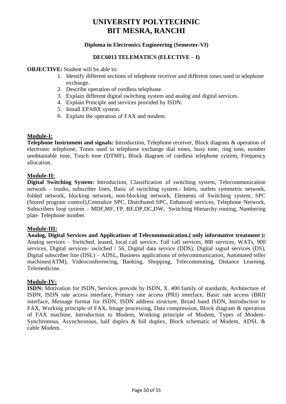#### **Diploma in Electronics Engineering (Semester-VI)**

#### **DEC6013 TELEMATICS (ELECTIVE – I)**

#### **OBJECTIVE:** Student will be able to:

- 1. Identify different sections of telephone receiver and different tones used in telephone exchange.
- 2. Describe operation of cordless telephone.
- 3. Explain different digital switching system and analog and digital services.
- 4. Explain Principle and services provided by ISDN.
- 5. Install EPABX system.
- 6. Explain the operation of FAX and modem.

#### **Module-I:**

**Telephone Instrument and signals:** Introduction, Telephone receiver, Block diagram & operation of electronic telephone, Tones used in telephone exchange dial tones, busy tone, ring tone, number unobtainable tone, Touch tone (DTMF), Block diagram of cordless telephone system, Frequency allocation.

#### **Module-II:**

**Digital Switching System:** Introduction, Classification of switching system, Telecommunication network – trunks, subscriber lines, Basic of switching system.- Inlets, outlets symmetric network, folded network, blocking network, non-blocking network, Elements of Switching system, SPC (Stored program control),Centralize SPC, Distributed SPC, Enhanced services, Telephone Network, Subscribers loop system – MDF,MF, FP, BF,DP,DC,DW, Switching Hierarchy routing, Numbering plan- Telephone number.

#### **Module-III:**

**Analog, Digital Services and Applications of Telecommunication.( only informative treatment ):**  Analog services – Switched, leased, local call service, Toll call services, 800 services, WATs, 900 services, Digital services- switched / 56, Digital data service (DDS), Digital signal services (DS), Digital subscriber line (DSL) – ADSL, Business applications of telecommunication, Automated teller machines(ATM), Videoconferencing, Banking, Shopping, Telecommuting, Distance Learning, Telemedicine.

#### **Module-IV:**

**ISDN:** Motivation for ISDN, Services provide by ISDN, X. 400 family of standards, Architecture of ISDN, ISDN rate access interface, Primary rate access (PRI) interface, Basic rate access (BRI) interface, Message format for ISDN, ISDN address structure, Broad band ISDN, Introduction to FAX, Working principle of FAX, Image processing, Data compression, Block diagram & operation of FAX machine, Introduction to Modem, Working principle of Modem, Types of Modem-Synchronous, Asynchronous, half duplex & full duplex, Block schematic of Modem, ADSL & cable Modem.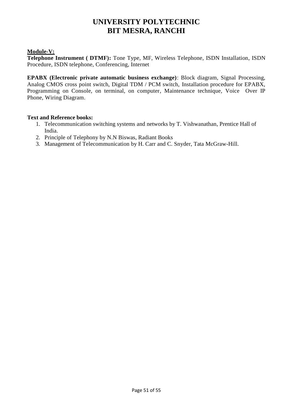#### **Module-V:**

**Telephone Instrument ( DTMF):** Tone Type, MF, Wireless Telephone, ISDN Installation, ISDN Procedure, ISDN telephone, Conferencing, Internet

**EPABX (Electronic private automatic business exchange)**: Block diagram, Signal Processing, Analog CMOS cross point switch, Digital TDM / PCM switch, Installation procedure for EPABX, Programming on Console, on terminal, on computer, Maintenance technique, Voice Over IP Phone, Wiring Diagram.

- 1. Telecommunication switching systems and networks by T. Vishwanathan, Prentice Hall of India.
- 2. Principle of Telephony by N.N Biswas, Radiant Books
- 3. Management of Telecommunication by H. Carr and C. Snyder, Tata McGraw-Hill.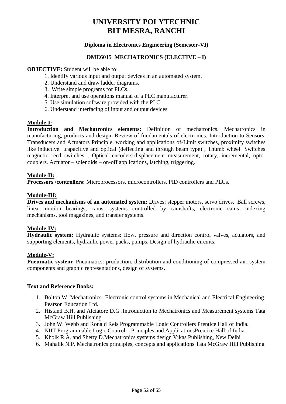#### **Diploma in Electronics Engineering (Semester-VI)**

#### **DME6015 MECHATRONICS (ELECTIVE – I)**

#### **OBJECTIVE:** Student will be able to:

- 1. Identify various input and output devices in an automated system.
- 2. Understand and draw ladder diagrams.
- 3. Write simple programs for PLCs.
- 4. Interpret and use operations manual of a PLC manufacturer.
- 5. Use simulation software provided with the PLC.
- 6. Understand interfacing of input and output devices

#### **Module-I:**

**Introduction and Mechatronics elements:** Definition of mechatronics. Mechatronics in manufacturing, products and design. Review of fundamentals of electronics. Introduction to Sensors, Transducers and Actuators Principle, working and applications of-Limit switches, proximity switches like inductive ,capacitive and optical (deflecting and through beam type) , Thumb wheel Switches magnetic reed switches , Optical encoders-displacement measurement, rotary, incremental, optocouplers. Actuator – solenoids – on-off applications, latching, triggering.

#### **Module-II:**

**Processors /controllers:** Microprocessors, microcontrollers, PID controllers and PLCs.

#### **Module-III:**

**Drives and mechanisms of an automated system:** Drives: stepper motors, servo drives. Ball screws, linear motion bearings, cams, systems controlled by camshafts, electronic cams, indexing mechanisms, tool magazines, and transfer systems.

#### **Module-IV:**

**Hydraulic system:** Hydraulic systems: flow, pressure and direction control valves, actuators, and supporting elements, hydraulic power packs, pumps. Design of hydraulic circuits.

#### **Module-V:**

**Pneumatic system:** Pneumatics: production, distribution and conditioning of compressed air, system components and graphic representations, design of systems.

- 1. Bolton W. Mechatronics- Electronic control systems in Mechanical and Electrical Engineering. Pearson Education Ltd.
- 2. Histand B.H. and Alciatore D.G .Introduction to Mechatronics and Measurement systems Tata McGraw Hill Publishing
- 3. John W. Webb and Ronald Reis Programmable Logic Controllers Prentice Hall of India.
- 4. NIIT Programmable Logic Control Principles and ApplicationsPrentice Hall of India
- 5. Kholk R.A. and Shetty D.Mechatronics systems design Vikas Publishing, New Delhi
- 6. Mahalik N.P. Mechatronics principles, concepts and applications Tata McGraw Hill Publishing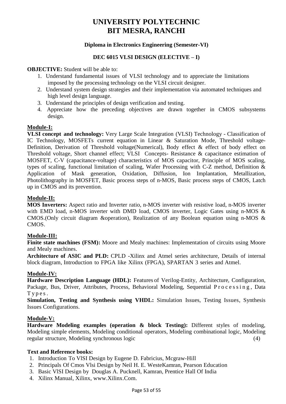#### **Diploma in Electronics Engineering (Semester-VI)**

#### **DEC 6015 VLSI DESIGN (ELECTIVE – I)**

#### **OBJECTIVE:** Student will be able to:

- 1. Understand fundamental issues of VLSI technology and to appreciate the limitations imposed by the processing technology on the VLSI circuit designer.
- 2. Understand system design strategies and their implementation via automated techniques and high level design language.
- 3. Understand the principles of design verification and testing.
- 4. Appreciate how the preceding objectives are drawn together in CMOS subsystems design.

#### **Module-I:**

**VLSI concept and technology:** Very Large Scale Integration (VLSI) Technology - Classification of IC Technology, MOSFETs current equation in Linear & Saturation Mode, Threshold voltage-Definition, Derivation of Threshold voltage(Numerical), Body effect & effect of body effect on Threshold voltage, Short channel effect; VLSI Concepts- Resistance & capacitance estimation of MOSFET, C-V (capacitance-voltage) characteristics of MOS capacitor, Principle of MOS scaling, types of scaling, functional limitation of scaling, Wafer Processing with C-Z method, Definition & Application of Mask generation, Oxidation, Diffusion, Ion Implantation, Metallization, Photolithography in MOSFET, Basic process steps of n-MOS, Basic process steps of CMOS, Latch up in CMOS and its prevention.

#### **Module-II:**

**MOS Inverters:** Aspect ratio and Inverter ratio, n-MOS inverter with resistive load, n-MOS inverter with EMD load, n-MOS inverter with DMD load, CMOS inverter, Logic Gates using n-MOS & CMOS.(Only circuit diagram &operation), Realization of any Boolean equation using n-MOS & CMOS.

#### **Module-III:**

**Finite state machines (FSM):** Moore and Mealy machines: Implementation of circuits using Moore and Mealy machines.

**Architecture of ASIC and PLD:** CPLD -Xilinx and Atmel series architecture, Details of internal block diagram, Introduction to FPGA like Xilinx (FPGA), SPARTAN 3 series and Atmel.

#### **Module-IV:**

**Hardware Description Language (HDL):** Features of Verilog-Entity, Architecture, Configuration, Package, Bus, Driver, Attributes, Process, Behavioral Modeling, Sequential Processing, Data T y p e s .

**Simulation, Testing and Synthesis using VHDL:** Simulation Issues, Testing Issues, Synthesis Issues Configurations.

#### **Module-V:**

**Hardware Modeling examples (operation & block Testing):** Different styles of modeling, Modeling simple elements, Modeling conditional operators, Modeling combinational logic, Modeling regular structure, Modeling synchronous logic (4)

- 1. Introduction To VlSI Design by Eugene D. Fabricius, Mcgraw-Hill
- 2. Principals Of Cmos Vlsi Design by Neil H. E. WesteKamran, Pearson Education
- 3. Basic VlSI Design by Douglas A. Pucknell, Kamran, Prentice Hall Of India
- 4. Xilinx Manual, Xilinx, www.Xilinx.Com.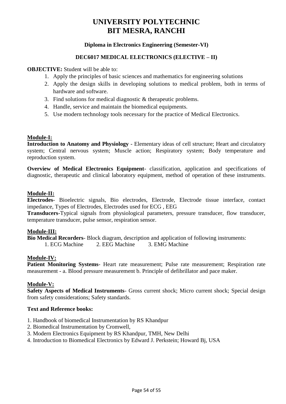#### **Diploma in Electronics Engineering (Semester-VI)**

#### **DEC6017 MEDICAL ELECTRONICS (ELECTIVE – II)**

**OBJECTIVE:** Student will be able to:

- 1. Apply the principles of basic sciences and mathematics for engineering solutions
- 2. Apply the design skills in developing solutions to medical problem, both in terms of hardware and software.
- 3. Find solutions for medical diagnostic & therapeutic problems.
- 4. Handle, service and maintain the biomedical equipments.
- 5. Use modern technology tools necessary for the practice of Medical Electronics.

#### **Module-I:**

**Introduction to Anatomy and Physiology** - Elementary ideas of cell structure; Heart and circulatory system; Central nervous system; Muscle action; Respiratory system; Body temperature and reproduction system.

**Overview of Medical Electronics Equipment**- classification, application and specifications of diagnostic, therapeutic and clinical laboratory equipment, method of operation of these instruments.

#### **Module-II:**

**Electrodes**- Bioelectric signals, Bio electrodes, Electrode, Electrode tissue interface, contact impedance, Types of Electrodes, Electrodes used for ECG , EEG

**Transducers**-Typical signals from physiological parameters, pressure transducer, flow transducer, temperature transducer, pulse sensor, respiration sensor.

#### **Module-III:**

**Bio Medical Recorders**- Block diagram, description and application of following instruments: 1. ECG Machine 2. EEG Machine 3. EMG Machine

#### **Module-IV:**

**Patient Monitoring Systems**- Heart rate measurement; Pulse rate measurement; Respiration rate measurement - a. Blood pressure measurement b. Principle of defibrillator and pace maker.

#### **Module-V:**

**Safety Aspects of Medical Instruments**- Gross current shock; Micro current shock; Special design from safety considerations; Safety standards.

- 1. Handbook of biomedical Instrumentation by RS Khandpur
- 2. Biomedical Instrumentation by Cromwell,
- 3. Modern Electronics Equipment by RS Khandpur, TMH, New Delhi
- 4. Introduction to Biomedical Electronics by Edward J. Perkstein; Howard Bj, USA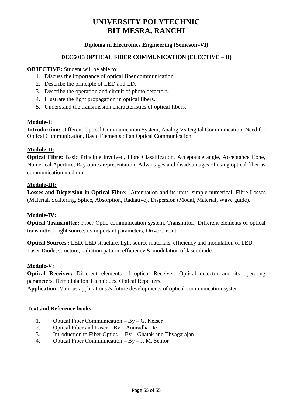#### **Diploma in Electronics Engineering (Semester-VI)**

#### **DEC6013 OPTICAL FIBER COMMUNICATION (ELECTIVE – II)**

**OBJECTIVE:** Student will be able to:

- 1. Discuss the importance of optical fiber communication.
- 2. Describe the principle of LED and LD.
- 3. Describe the operation and circuit of photo detectors.
- 4. Illustrate the light propagation in optical fibers.
- 5. Understand the transmission characteristics of optical fibers.

#### **Module-I:**

**Introduction:** Different Optical Communication System, Analog Vs Digital Communication, Need for Optical Communication, Basic Elements of an Optical Communication.

#### **Module-II:**

**Optical Fibre:** Basic Principle involved, Fibre Classification, Acceptance angle, Acceptance Cone, Numerical Aperture, Ray optics representation, Advantages and disadvantages of using optical fiber as communication medium.

#### **Module-III:**

**Losses and Dispersion in Optical Fibre:** Attenuation and its units, simple numerical, Fibre Losses (Material, Scattering, Splice, Absorption, Radiative). Dispersion (Modal, Material, Wave guide).

#### **Module-IV:**

**Optical Transmitter:** Fiber Optic communication system, Transmitter, Different elements of optical transmitter, Light source, its important parameters, Drive Circuit.

**Optical Sources :** LED, LED structure, light source materials, efficiency and modulation of LED. Laser Diode, structure, radiation pattern, efficiency & modulation of laser diode.

#### **Module-V:**

**Optical Receiver:** Different elements of optical Receiver, Optical detector and its operating parameters, Demodulation Techniques. Optical Repeaters.

**Application:** Various applications & future developments of optical communication system.

- 1. Optical Fiber Communication By G. Keiser
- 2. Optical Fiber and Laser By Anuradha De
- 3. Introduction to Fiber Optics  $-$  By Ghatak and Thyagarajan
- 4. Optical Fiber Communication By J. M. Senior